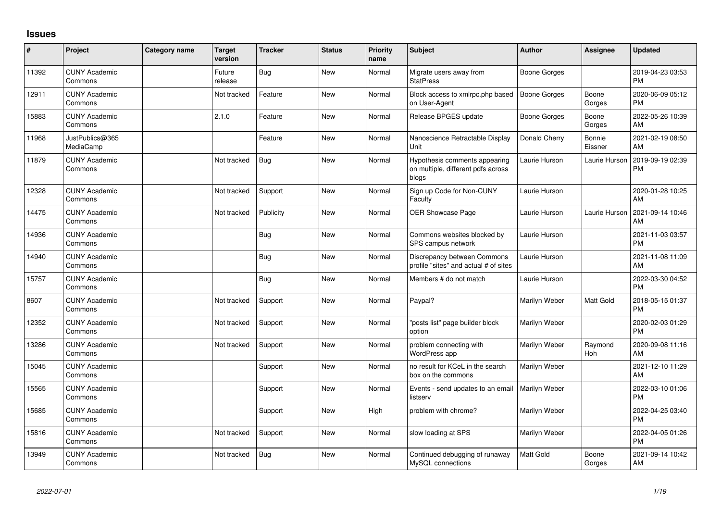## **Issues**

| #     | Project                         | Category name | <b>Target</b><br>version | <b>Tracker</b> | <b>Status</b> | <b>Priority</b><br>name | <b>Subject</b>                                                               | <b>Author</b> | Assignee          | <b>Updated</b>                |
|-------|---------------------------------|---------------|--------------------------|----------------|---------------|-------------------------|------------------------------------------------------------------------------|---------------|-------------------|-------------------------------|
| 11392 | <b>CUNY Academic</b><br>Commons |               | Future<br>release        | <b>Bug</b>     | <b>New</b>    | Normal                  | Migrate users away from<br><b>StatPress</b>                                  | Boone Gorges  |                   | 2019-04-23 03:53<br><b>PM</b> |
| 12911 | <b>CUNY Academic</b><br>Commons |               | Not tracked              | Feature        | <b>New</b>    | Normal                  | Block access to xmlrpc.php based<br>on User-Agent                            | Boone Gorges  | Boone<br>Gorges   | 2020-06-09 05:12<br><b>PM</b> |
| 15883 | <b>CUNY Academic</b><br>Commons |               | 2.1.0                    | Feature        | <b>New</b>    | Normal                  | Release BPGES update                                                         | Boone Gorges  | Boone<br>Gorges   | 2022-05-26 10:39<br>AM        |
| 11968 | JustPublics@365<br>MediaCamp    |               |                          | Feature        | <b>New</b>    | Normal                  | Nanoscience Retractable Display<br>Unit                                      | Donald Cherry | Bonnie<br>Eissner | 2021-02-19 08:50<br>AM        |
| 11879 | <b>CUNY Academic</b><br>Commons |               | Not tracked              | Bug            | <b>New</b>    | Normal                  | Hypothesis comments appearing<br>on multiple, different pdfs across<br>blogs | Laurie Hurson | Laurie Hurson     | 2019-09-19 02:39<br>PM        |
| 12328 | <b>CUNY Academic</b><br>Commons |               | Not tracked              | Support        | New           | Normal                  | Sign up Code for Non-CUNY<br>Faculty                                         | Laurie Hurson |                   | 2020-01-28 10:25<br>AM        |
| 14475 | <b>CUNY Academic</b><br>Commons |               | Not tracked              | Publicity      | <b>New</b>    | Normal                  | OER Showcase Page                                                            | Laurie Hurson | Laurie Hurson     | 2021-09-14 10:46<br><b>AM</b> |
| 14936 | <b>CUNY Academic</b><br>Commons |               |                          | Bug            | <b>New</b>    | Normal                  | Commons websites blocked by<br>SPS campus network                            | Laurie Hurson |                   | 2021-11-03 03:57<br><b>PM</b> |
| 14940 | <b>CUNY Academic</b><br>Commons |               |                          | Bug            | <b>New</b>    | Normal                  | Discrepancy between Commons<br>profile "sites" and actual # of sites         | Laurie Hurson |                   | 2021-11-08 11:09<br><b>AM</b> |
| 15757 | <b>CUNY Academic</b><br>Commons |               |                          | <b>Bug</b>     | <b>New</b>    | Normal                  | Members # do not match                                                       | Laurie Hurson |                   | 2022-03-30 04:52<br><b>PM</b> |
| 8607  | <b>CUNY Academic</b><br>Commons |               | Not tracked              | Support        | <b>New</b>    | Normal                  | Paypal?                                                                      | Marilyn Weber | Matt Gold         | 2018-05-15 01:37<br><b>PM</b> |
| 12352 | <b>CUNY Academic</b><br>Commons |               | Not tracked              | Support        | New           | Normal                  | 'posts list" page builder block<br>option                                    | Marilyn Weber |                   | 2020-02-03 01:29<br><b>PM</b> |
| 13286 | <b>CUNY Academic</b><br>Commons |               | Not tracked              | Support        | <b>New</b>    | Normal                  | problem connecting with<br>WordPress app                                     | Marilyn Weber | Raymond<br>Hoh    | 2020-09-08 11:16<br>AM        |
| 15045 | <b>CUNY Academic</b><br>Commons |               |                          | Support        | New           | Normal                  | no result for KCeL in the search<br>box on the commons                       | Marilyn Weber |                   | 2021-12-10 11:29<br>AM        |
| 15565 | <b>CUNY Academic</b><br>Commons |               |                          | Support        | <b>New</b>    | Normal                  | Events - send updates to an email<br>listserv                                | Marilyn Weber |                   | 2022-03-10 01:06<br><b>PM</b> |
| 15685 | <b>CUNY Academic</b><br>Commons |               |                          | Support        | <b>New</b>    | High                    | problem with chrome?                                                         | Marilyn Weber |                   | 2022-04-25 03:40<br><b>PM</b> |
| 15816 | <b>CUNY Academic</b><br>Commons |               | Not tracked              | Support        | <b>New</b>    | Normal                  | slow loading at SPS                                                          | Marilyn Weber |                   | 2022-04-05 01:26<br><b>PM</b> |
| 13949 | <b>CUNY Academic</b><br>Commons |               | Not tracked              | Bug            | <b>New</b>    | Normal                  | Continued debugging of runaway<br>MySQL connections                          | Matt Gold     | Boone<br>Gorges   | 2021-09-14 10:42<br>AM        |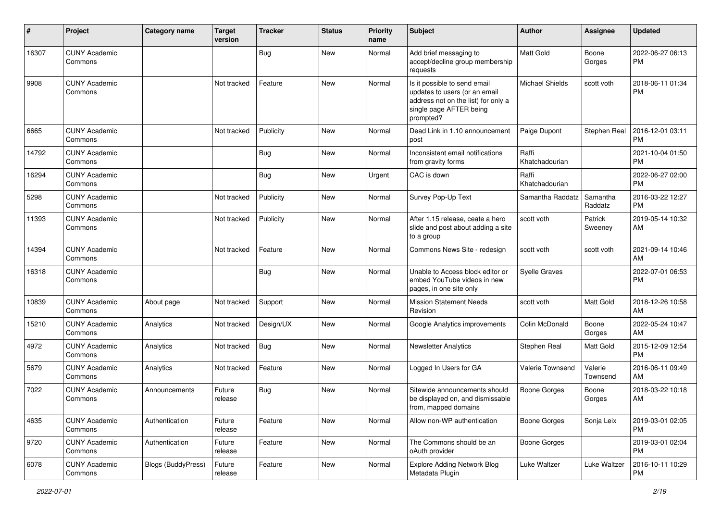| ∦     | Project                         | <b>Category name</b>      | <b>Target</b><br>version | Tracker    | <b>Status</b> | Priority<br>name | <b>Subject</b>                                                                                                                               | <b>Author</b>           | <b>Assignee</b>     | <b>Updated</b>                |
|-------|---------------------------------|---------------------------|--------------------------|------------|---------------|------------------|----------------------------------------------------------------------------------------------------------------------------------------------|-------------------------|---------------------|-------------------------------|
| 16307 | <b>CUNY Academic</b><br>Commons |                           |                          | <b>Bug</b> | <b>New</b>    | Normal           | Add brief messaging to<br>accept/decline group membership<br>requests                                                                        | Matt Gold               | Boone<br>Gorges     | 2022-06-27 06:13<br>PM.       |
| 9908  | <b>CUNY Academic</b><br>Commons |                           | Not tracked              | Feature    | <b>New</b>    | Normal           | Is it possible to send email<br>updates to users (or an email<br>address not on the list) for only a<br>single page AFTER being<br>prompted? | Michael Shields         | scott voth          | 2018-06-11 01:34<br><b>PM</b> |
| 6665  | <b>CUNY Academic</b><br>Commons |                           | Not tracked              | Publicity  | <b>New</b>    | Normal           | Dead Link in 1.10 announcement<br>post                                                                                                       | Paige Dupont            | Stephen Real        | 2016-12-01 03:11<br><b>PM</b> |
| 14792 | <b>CUNY Academic</b><br>Commons |                           |                          | Bug        | <b>New</b>    | Normal           | Inconsistent email notifications<br>from gravity forms                                                                                       | Raffi<br>Khatchadourian |                     | 2021-10-04 01:50<br><b>PM</b> |
| 16294 | <b>CUNY Academic</b><br>Commons |                           |                          | Bug        | <b>New</b>    | Urgent           | CAC is down                                                                                                                                  | Raffi<br>Khatchadourian |                     | 2022-06-27 02:00<br><b>PM</b> |
| 5298  | <b>CUNY Academic</b><br>Commons |                           | Not tracked              | Publicity  | <b>New</b>    | Normal           | Survey Pop-Up Text                                                                                                                           | Samantha Raddatz        | Samantha<br>Raddatz | 2016-03-22 12:27<br><b>PM</b> |
| 11393 | <b>CUNY Academic</b><br>Commons |                           | Not tracked              | Publicity  | New           | Normal           | After 1.15 release, ceate a hero<br>slide and post about adding a site<br>to a group                                                         | scott voth              | Patrick<br>Sweeney  | 2019-05-14 10:32<br>AM        |
| 14394 | <b>CUNY Academic</b><br>Commons |                           | Not tracked              | Feature    | New           | Normal           | Commons News Site - redesign                                                                                                                 | scott voth              | scott voth          | 2021-09-14 10:46<br>AM        |
| 16318 | <b>CUNY Academic</b><br>Commons |                           |                          | <b>Bug</b> | <b>New</b>    | Normal           | Unable to Access block editor or<br>embed YouTube videos in new<br>pages, in one site only                                                   | <b>Syelle Graves</b>    |                     | 2022-07-01 06:53<br>PM        |
| 10839 | <b>CUNY Academic</b><br>Commons | About page                | Not tracked              | Support    | <b>New</b>    | Normal           | <b>Mission Statement Needs</b><br>Revision                                                                                                   | scott voth              | Matt Gold           | 2018-12-26 10:58<br>AM        |
| 15210 | <b>CUNY Academic</b><br>Commons | Analytics                 | Not tracked              | Design/UX  | <b>New</b>    | Normal           | Google Analytics improvements                                                                                                                | Colin McDonald          | Boone<br>Gorges     | 2022-05-24 10:47<br>AM        |
| 4972  | <b>CUNY Academic</b><br>Commons | Analytics                 | Not tracked              | Bug        | New           | Normal           | <b>Newsletter Analytics</b>                                                                                                                  | Stephen Real            | Matt Gold           | 2015-12-09 12:54<br><b>PM</b> |
| 5679  | <b>CUNY Academic</b><br>Commons | Analytics                 | Not tracked              | Feature    | New           | Normal           | Logged In Users for GA                                                                                                                       | Valerie Townsend        | Valerie<br>Townsend | 2016-06-11 09:49<br>AM        |
| 7022  | <b>CUNY Academic</b><br>Commons | Announcements             | Future<br>release        | <b>Bug</b> | New           | Normal           | Sitewide announcements should<br>be displayed on, and dismissable<br>from, mapped domains                                                    | <b>Boone Gorges</b>     | Boone<br>Gorges     | 2018-03-22 10:18<br>AM        |
| 4635  | <b>CUNY Academic</b><br>Commons | Authentication            | Future<br>release        | Feature    | New           | Normal           | Allow non-WP authentication                                                                                                                  | Boone Gorges            | Sonja Leix          | 2019-03-01 02:05<br><b>PM</b> |
| 9720  | <b>CUNY Academic</b><br>Commons | Authentication            | Future<br>release        | Feature    | New           | Normal           | The Commons should be an<br>oAuth provider                                                                                                   | Boone Gorges            |                     | 2019-03-01 02:04<br><b>PM</b> |
| 6078  | <b>CUNY Academic</b><br>Commons | <b>Blogs (BuddyPress)</b> | Future<br>release        | Feature    | New           | Normal           | <b>Explore Adding Network Blog</b><br>Metadata Plugin                                                                                        | Luke Waltzer            | Luke Waltzer        | 2016-10-11 10:29<br>PM        |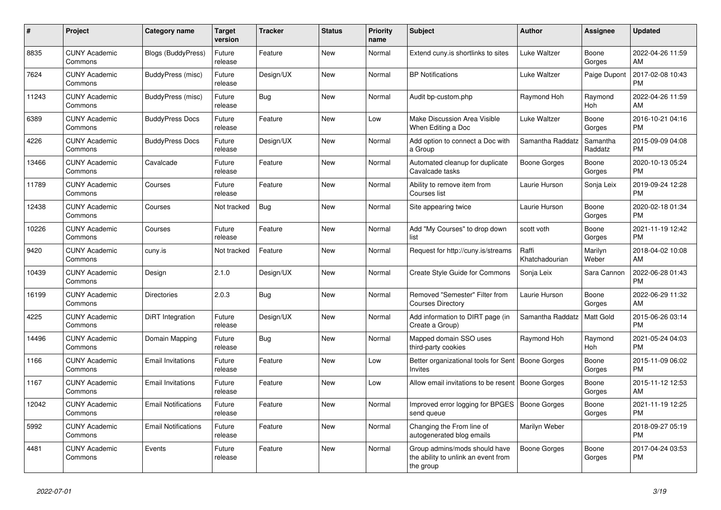| #     | <b>Project</b>                  | Category name              | Target<br>version | <b>Tracker</b> | <b>Status</b> | <b>Priority</b><br>name | <b>Subject</b>                                                                    | <b>Author</b>           | Assignee            | <b>Updated</b>                |
|-------|---------------------------------|----------------------------|-------------------|----------------|---------------|-------------------------|-----------------------------------------------------------------------------------|-------------------------|---------------------|-------------------------------|
| 8835  | <b>CUNY Academic</b><br>Commons | Blogs (BuddyPress)         | Future<br>release | Feature        | New           | Normal                  | Extend cuny.is shortlinks to sites                                                | Luke Waltzer            | Boone<br>Gorges     | 2022-04-26 11:59<br>AM.       |
| 7624  | <b>CUNY Academic</b><br>Commons | BuddyPress (misc)          | Future<br>release | Design/UX      | New           | Normal                  | <b>BP Notifications</b>                                                           | Luke Waltzer            | Paige Dupont        | 2017-02-08 10:43<br><b>PM</b> |
| 11243 | <b>CUNY Academic</b><br>Commons | BuddyPress (misc)          | Future<br>release | <b>Bug</b>     | <b>New</b>    | Normal                  | Audit bp-custom.php                                                               | Raymond Hoh             | Raymond<br>Hoh      | 2022-04-26 11:59<br><b>AM</b> |
| 6389  | <b>CUNY Academic</b><br>Commons | <b>BuddyPress Docs</b>     | Future<br>release | Feature        | <b>New</b>    | Low                     | Make Discussion Area Visible<br>When Editing a Doc                                | Luke Waltzer            | Boone<br>Gorges     | 2016-10-21 04:16<br><b>PM</b> |
| 4226  | <b>CUNY Academic</b><br>Commons | <b>BuddyPress Docs</b>     | Future<br>release | Design/UX      | New           | Normal                  | Add option to connect a Doc with<br>a Group                                       | Samantha Raddatz        | Samantha<br>Raddatz | 2015-09-09 04:08<br><b>PM</b> |
| 13466 | <b>CUNY Academic</b><br>Commons | Cavalcade                  | Future<br>release | Feature        | New           | Normal                  | Automated cleanup for duplicate<br>Cavalcade tasks                                | Boone Gorges            | Boone<br>Gorges     | 2020-10-13 05:24<br><b>PM</b> |
| 11789 | <b>CUNY Academic</b><br>Commons | Courses                    | Future<br>release | Feature        | <b>New</b>    | Normal                  | Ability to remove item from<br>Courses list                                       | Laurie Hurson           | Sonja Leix          | 2019-09-24 12:28<br><b>PM</b> |
| 12438 | <b>CUNY Academic</b><br>Commons | Courses                    | Not tracked       | <b>Bug</b>     | <b>New</b>    | Normal                  | Site appearing twice                                                              | Laurie Hurson           | Boone<br>Gorges     | 2020-02-18 01:34<br>PM        |
| 10226 | <b>CUNY Academic</b><br>Commons | Courses                    | Future<br>release | Feature        | <b>New</b>    | Normal                  | Add "My Courses" to drop down<br>list                                             | scott voth              | Boone<br>Gorges     | 2021-11-19 12:42<br><b>PM</b> |
| 9420  | <b>CUNY Academic</b><br>Commons | cuny.is                    | Not tracked       | Feature        | New           | Normal                  | Request for http://cuny.is/streams                                                | Raffi<br>Khatchadourian | Marilyn<br>Weber    | 2018-04-02 10:08<br>AM        |
| 10439 | <b>CUNY Academic</b><br>Commons | Design                     | 2.1.0             | Design/UX      | <b>New</b>    | Normal                  | Create Style Guide for Commons                                                    | Sonja Leix              | Sara Cannon         | 2022-06-28 01:43<br><b>PM</b> |
| 16199 | <b>CUNY Academic</b><br>Commons | <b>Directories</b>         | 2.0.3             | <b>Bug</b>     | <b>New</b>    | Normal                  | Removed "Semester" Filter from<br><b>Courses Directory</b>                        | Laurie Hurson           | Boone<br>Gorges     | 2022-06-29 11:32<br>AM.       |
| 4225  | <b>CUNY Academic</b><br>Commons | DiRT Integration           | Future<br>release | Design/UX      | New           | Normal                  | Add information to DIRT page (in<br>Create a Group)                               | Samantha Raddatz        | Matt Gold           | 2015-06-26 03:14<br><b>PM</b> |
| 14496 | <b>CUNY Academic</b><br>Commons | Domain Mapping             | Future<br>release | Bug            | New           | Normal                  | Mapped domain SSO uses<br>third-party cookies                                     | Raymond Hoh             | Raymond<br>Hoh      | 2021-05-24 04:03<br><b>PM</b> |
| 1166  | <b>CUNY Academic</b><br>Commons | <b>Email Invitations</b>   | Future<br>release | Feature        | <b>New</b>    | Low                     | Better organizational tools for Sent<br>Invites                                   | Boone Gorges            | Boone<br>Gorges     | 2015-11-09 06:02<br><b>PM</b> |
| 1167  | <b>CUNY Academic</b><br>Commons | <b>Email Invitations</b>   | Future<br>release | Feature        | New           | Low                     | Allow email invitations to be resent                                              | Boone Gorges            | Boone<br>Gorges     | 2015-11-12 12:53<br>AM        |
| 12042 | <b>CUNY Academic</b><br>Commons | <b>Email Notifications</b> | Future<br>release | Feature        | <b>New</b>    | Normal                  | Improved error logging for BPGES<br>send queue                                    | <b>Boone Gorges</b>     | Boone<br>Gorges     | 2021-11-19 12:25<br><b>PM</b> |
| 5992  | <b>CUNY Academic</b><br>Commons | <b>Email Notifications</b> | Future<br>release | Feature        | <b>New</b>    | Normal                  | Changing the From line of<br>autogenerated blog emails                            | Marilyn Weber           |                     | 2018-09-27 05:19<br><b>PM</b> |
| 4481  | <b>CUNY Academic</b><br>Commons | Events                     | Future<br>release | Feature        | New           | Normal                  | Group admins/mods should have<br>the ability to unlink an event from<br>the group | Boone Gorges            | Boone<br>Gorges     | 2017-04-24 03:53<br><b>PM</b> |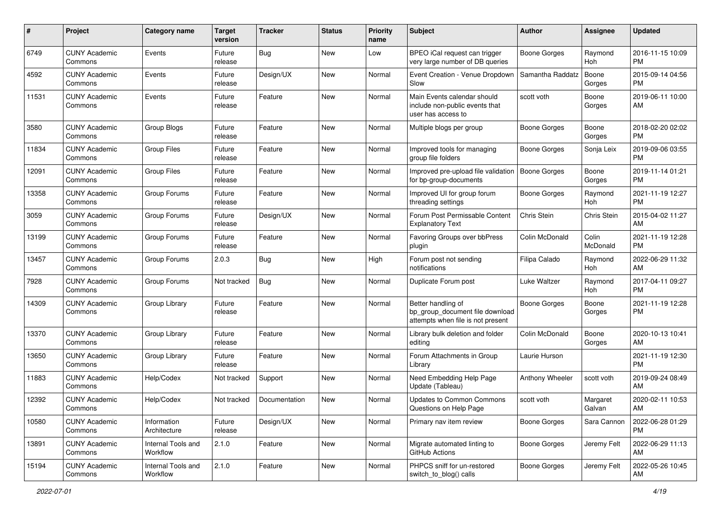| #     | Project                         | <b>Category name</b>           | <b>Target</b><br>version | <b>Tracker</b> | <b>Status</b> | <b>Priority</b><br>name | <b>Subject</b>                                                                             | Author              | <b>Assignee</b>    | <b>Updated</b>                |
|-------|---------------------------------|--------------------------------|--------------------------|----------------|---------------|-------------------------|--------------------------------------------------------------------------------------------|---------------------|--------------------|-------------------------------|
| 6749  | <b>CUNY Academic</b><br>Commons | Events                         | Future<br>release        | Bug            | <b>New</b>    | Low                     | BPEO iCal request can trigger<br>very large number of DB queries                           | Boone Gorges        | Raymond<br>Hoh     | 2016-11-15 10:09<br><b>PM</b> |
| 4592  | <b>CUNY Academic</b><br>Commons | Events                         | Future<br>release        | Design/UX      | New           | Normal                  | Event Creation - Venue Dropdown<br>Slow                                                    | Samantha Raddatz    | Boone<br>Gorges    | 2015-09-14 04:56<br><b>PM</b> |
| 11531 | <b>CUNY Academic</b><br>Commons | Events                         | Future<br>release        | Feature        | New           | Normal                  | Main Events calendar should<br>include non-public events that<br>user has access to        | scott voth          | Boone<br>Gorges    | 2019-06-11 10:00<br>AM        |
| 3580  | <b>CUNY Academic</b><br>Commons | <b>Group Blogs</b>             | Future<br>release        | Feature        | New           | Normal                  | Multiple blogs per group                                                                   | <b>Boone Gorges</b> | Boone<br>Gorges    | 2018-02-20 02:02<br>PM.       |
| 11834 | <b>CUNY Academic</b><br>Commons | <b>Group Files</b>             | Future<br>release        | Feature        | New           | Normal                  | Improved tools for managing<br>group file folders                                          | Boone Gorges        | Sonja Leix         | 2019-09-06 03:55<br><b>PM</b> |
| 12091 | <b>CUNY Academic</b><br>Commons | <b>Group Files</b>             | Future<br>release        | Feature        | New           | Normal                  | Improved pre-upload file validation<br>for bp-group-documents                              | Boone Gorges        | Boone<br>Gorges    | 2019-11-14 01:21<br><b>PM</b> |
| 13358 | <b>CUNY Academic</b><br>Commons | Group Forums                   | Future<br>release        | Feature        | New           | Normal                  | Improved UI for group forum<br>threading settings                                          | Boone Gorges        | Raymond<br>Hoh     | 2021-11-19 12:27<br><b>PM</b> |
| 3059  | <b>CUNY Academic</b><br>Commons | Group Forums                   | Future<br>release        | Design/UX      | New           | Normal                  | Forum Post Permissable Content<br>Explanatory Text                                         | Chris Stein         | Chris Stein        | 2015-04-02 11:27<br>AM        |
| 13199 | <b>CUNY Academic</b><br>Commons | Group Forums                   | Future<br>release        | Feature        | <b>New</b>    | Normal                  | Favoring Groups over bbPress<br>plugin                                                     | Colin McDonald      | Colin<br>McDonald  | 2021-11-19 12:28<br>PM.       |
| 13457 | <b>CUNY Academic</b><br>Commons | Group Forums                   | 2.0.3                    | Bug            | New           | High                    | Forum post not sending<br>notifications                                                    | Filipa Calado       | Raymond<br>Hoh     | 2022-06-29 11:32<br>AM        |
| 7928  | <b>CUNY Academic</b><br>Commons | Group Forums                   | Not tracked              | Bug            | <b>New</b>    | Normal                  | Duplicate Forum post                                                                       | Luke Waltzer        | Raymond<br>Hoh     | 2017-04-11 09:27<br><b>PM</b> |
| 14309 | <b>CUNY Academic</b><br>Commons | Group Library                  | Future<br>release        | Feature        | New           | Normal                  | Better handling of<br>bp_group_document file download<br>attempts when file is not present | <b>Boone Gorges</b> | Boone<br>Gorges    | 2021-11-19 12:28<br>PM        |
| 13370 | <b>CUNY Academic</b><br>Commons | Group Library                  | Future<br>release        | Feature        | <b>New</b>    | Normal                  | Library bulk deletion and folder<br>editing                                                | Colin McDonald      | Boone<br>Gorges    | 2020-10-13 10:41<br>AM        |
| 13650 | <b>CUNY Academic</b><br>Commons | Group Library                  | Future<br>release        | Feature        | <b>New</b>    | Normal                  | Forum Attachments in Group<br>Library                                                      | Laurie Hurson       |                    | 2021-11-19 12:30<br><b>PM</b> |
| 11883 | <b>CUNY Academic</b><br>Commons | Help/Codex                     | Not tracked              | Support        | New           | Normal                  | Need Embedding Help Page<br>Update (Tableau)                                               | Anthony Wheeler     | scott voth         | 2019-09-24 08:49<br>AM        |
| 12392 | <b>CUNY Academic</b><br>Commons | Help/Codex                     | Not tracked              | Documentation  | New           | Normal                  | <b>Updates to Common Commons</b><br>Questions on Help Page                                 | scott voth          | Margaret<br>Galvan | 2020-02-11 10:53<br>AM        |
| 10580 | <b>CUNY Academic</b><br>Commons | Information<br>Architecture    | Future<br>release        | Design/UX      | New           | Normal                  | Primary nav item review                                                                    | <b>Boone Gorges</b> | Sara Cannon        | 2022-06-28 01:29<br>PM.       |
| 13891 | <b>CUNY Academic</b><br>Commons | Internal Tools and<br>Workflow | 2.1.0                    | Feature        | New           | Normal                  | Migrate automated linting to<br>GitHub Actions                                             | Boone Gorges        | Jeremy Felt        | 2022-06-29 11:13<br>AM        |
| 15194 | <b>CUNY Academic</b><br>Commons | Internal Tools and<br>Workflow | 2.1.0                    | Feature        | New           | Normal                  | PHPCS sniff for un-restored<br>switch_to_blog() calls                                      | Boone Gorges        | Jeremy Felt        | 2022-05-26 10:45<br>AM        |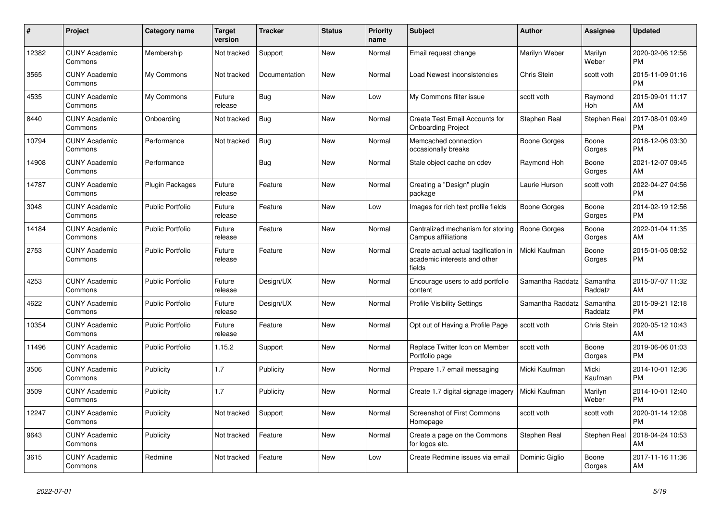| $\#$  | Project                         | <b>Category name</b>    | <b>Target</b><br>version | <b>Tracker</b> | <b>Status</b> | <b>Priority</b><br>name | <b>Subject</b>                                                                 | <b>Author</b>    | Assignee            | <b>Updated</b>                |
|-------|---------------------------------|-------------------------|--------------------------|----------------|---------------|-------------------------|--------------------------------------------------------------------------------|------------------|---------------------|-------------------------------|
| 12382 | <b>CUNY Academic</b><br>Commons | Membership              | Not tracked              | Support        | <b>New</b>    | Normal                  | Email request change                                                           | Marilyn Weber    | Marilyn<br>Weber    | 2020-02-06 12:56<br><b>PM</b> |
| 3565  | <b>CUNY Academic</b><br>Commons | My Commons              | Not tracked              | Documentation  | <b>New</b>    | Normal                  | Load Newest inconsistencies                                                    | Chris Stein      | scott voth          | 2015-11-09 01:16<br><b>PM</b> |
| 4535  | <b>CUNY Academic</b><br>Commons | My Commons              | Future<br>release        | Bug            | New           | Low                     | My Commons filter issue                                                        | scott voth       | Raymond<br>Hoh      | 2015-09-01 11:17<br>AM        |
| 8440  | <b>CUNY Academic</b><br>Commons | Onboarding              | Not tracked              | <b>Bug</b>     | <b>New</b>    | Normal                  | Create Test Email Accounts for<br><b>Onboarding Project</b>                    | Stephen Real     | Stephen Real        | 2017-08-01 09:49<br><b>PM</b> |
| 10794 | <b>CUNY Academic</b><br>Commons | Performance             | Not tracked              | Bug            | <b>New</b>    | Normal                  | Memcached connection<br>occasionally breaks                                    | Boone Gorges     | Boone<br>Gorges     | 2018-12-06 03:30<br><b>PM</b> |
| 14908 | <b>CUNY Academic</b><br>Commons | Performance             |                          | Bug            | New           | Normal                  | Stale object cache on cdev                                                     | Raymond Hoh      | Boone<br>Gorges     | 2021-12-07 09:45<br>AM        |
| 14787 | <b>CUNY Academic</b><br>Commons | <b>Plugin Packages</b>  | Future<br>release        | Feature        | <b>New</b>    | Normal                  | Creating a "Design" plugin<br>package                                          | Laurie Hurson    | scott voth          | 2022-04-27 04:56<br><b>PM</b> |
| 3048  | <b>CUNY Academic</b><br>Commons | <b>Public Portfolio</b> | Future<br>release        | Feature        | <b>New</b>    | Low                     | Images for rich text profile fields                                            | Boone Gorges     | Boone<br>Gorges     | 2014-02-19 12:56<br><b>PM</b> |
| 14184 | <b>CUNY Academic</b><br>Commons | <b>Public Portfolio</b> | Future<br>release        | Feature        | <b>New</b>    | Normal                  | Centralized mechanism for storing<br>Campus affiliations                       | Boone Gorges     | Boone<br>Gorges     | 2022-01-04 11:35<br>AM        |
| 2753  | <b>CUNY Academic</b><br>Commons | <b>Public Portfolio</b> | Future<br>release        | Feature        | New           | Normal                  | Create actual actual tagification in<br>academic interests and other<br>fields | Micki Kaufman    | Boone<br>Gorges     | 2015-01-05 08:52<br><b>PM</b> |
| 4253  | <b>CUNY Academic</b><br>Commons | <b>Public Portfolio</b> | Future<br>release        | Design/UX      | <b>New</b>    | Normal                  | Encourage users to add portfolio<br>content                                    | Samantha Raddatz | Samantha<br>Raddatz | 2015-07-07 11:32<br>AM        |
| 4622  | <b>CUNY Academic</b><br>Commons | <b>Public Portfolio</b> | Future<br>release        | Design/UX      | New           | Normal                  | <b>Profile Visibility Settings</b>                                             | Samantha Raddatz | Samantha<br>Raddatz | 2015-09-21 12:18<br><b>PM</b> |
| 10354 | <b>CUNY Academic</b><br>Commons | <b>Public Portfolio</b> | Future<br>release        | Feature        | <b>New</b>    | Normal                  | Opt out of Having a Profile Page                                               | scott voth       | Chris Stein         | 2020-05-12 10:43<br>AM        |
| 11496 | <b>CUNY Academic</b><br>Commons | <b>Public Portfolio</b> | 1.15.2                   | Support        | <b>New</b>    | Normal                  | Replace Twitter Icon on Member<br>Portfolio page                               | scott voth       | Boone<br>Gorges     | 2019-06-06 01:03<br><b>PM</b> |
| 3506  | <b>CUNY Academic</b><br>Commons | Publicity               | 1.7                      | Publicity      | New           | Normal                  | Prepare 1.7 email messaging                                                    | Micki Kaufman    | Micki<br>Kaufman    | 2014-10-01 12:36<br><b>PM</b> |
| 3509  | <b>CUNY Academic</b><br>Commons | Publicity               | 1.7                      | Publicity      | <b>New</b>    | Normal                  | Create 1.7 digital signage imagery                                             | Micki Kaufman    | Marilyn<br>Weber    | 2014-10-01 12:40<br><b>PM</b> |
| 12247 | <b>CUNY Academic</b><br>Commons | Publicity               | Not tracked              | Support        | <b>New</b>    | Normal                  | <b>Screenshot of First Commons</b><br>Homepage                                 | scott voth       | scott voth          | 2020-01-14 12:08<br><b>PM</b> |
| 9643  | <b>CUNY Academic</b><br>Commons | Publicity               | Not tracked              | Feature        | New           | Normal                  | Create a page on the Commons<br>for logos etc.                                 | Stephen Real     | Stephen Real        | 2018-04-24 10:53<br>AM        |
| 3615  | <b>CUNY Academic</b><br>Commons | Redmine                 | Not tracked              | Feature        | <b>New</b>    | Low                     | Create Redmine issues via email                                                | Dominic Giglio   | Boone<br>Gorges     | 2017-11-16 11:36<br>AM        |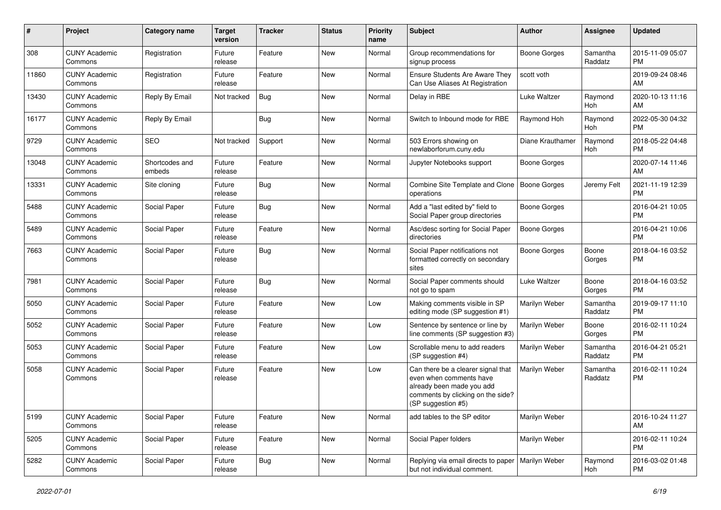| #     | Project                         | <b>Category name</b>     | <b>Target</b><br>version | <b>Tracker</b> | <b>Status</b> | <b>Priority</b><br>name | Subject                                                                                                                                               | <b>Author</b>       | <b>Assignee</b>     | <b>Updated</b>                |
|-------|---------------------------------|--------------------------|--------------------------|----------------|---------------|-------------------------|-------------------------------------------------------------------------------------------------------------------------------------------------------|---------------------|---------------------|-------------------------------|
| 308   | <b>CUNY Academic</b><br>Commons | Registration             | Future<br>release        | Feature        | <b>New</b>    | Normal                  | Group recommendations for<br>signup process                                                                                                           | <b>Boone Gorges</b> | Samantha<br>Raddatz | 2015-11-09 05:07<br><b>PM</b> |
| 11860 | <b>CUNY Academic</b><br>Commons | Registration             | Future<br>release        | Feature        | New           | Normal                  | <b>Ensure Students Are Aware They</b><br>Can Use Aliases At Registration                                                                              | scott voth          |                     | 2019-09-24 08:46<br>AM        |
| 13430 | <b>CUNY Academic</b><br>Commons | Reply By Email           | Not tracked              | Bug            | New           | Normal                  | Delay in RBE                                                                                                                                          | Luke Waltzer        | Raymond<br>Hoh      | 2020-10-13 11:16<br>AM        |
| 16177 | <b>CUNY Academic</b><br>Commons | Reply By Email           |                          | <b>Bug</b>     | <b>New</b>    | Normal                  | Switch to Inbound mode for RBE                                                                                                                        | Raymond Hoh         | Raymond<br>Hoh      | 2022-05-30 04:32<br><b>PM</b> |
| 9729  | <b>CUNY Academic</b><br>Commons | <b>SEO</b>               | Not tracked              | Support        | New           | Normal                  | 503 Errors showing on<br>newlaborforum.cuny.edu                                                                                                       | Diane Krauthamer    | Raymond<br>Hoh      | 2018-05-22 04:48<br><b>PM</b> |
| 13048 | <b>CUNY Academic</b><br>Commons | Shortcodes and<br>embeds | Future<br>release        | Feature        | New           | Normal                  | Jupyter Notebooks support                                                                                                                             | Boone Gorges        |                     | 2020-07-14 11:46<br>AM.       |
| 13331 | <b>CUNY Academic</b><br>Commons | Site cloning             | Future<br>release        | Bug            | <b>New</b>    | Normal                  | Combine Site Template and Clone<br>operations                                                                                                         | Boone Gorges        | Jeremy Felt         | 2021-11-19 12:39<br><b>PM</b> |
| 5488  | <b>CUNY Academic</b><br>Commons | Social Paper             | Future<br>release        | Bug            | <b>New</b>    | Normal                  | Add a "last edited by" field to<br>Social Paper group directories                                                                                     | <b>Boone Gorges</b> |                     | 2016-04-21 10:05<br><b>PM</b> |
| 5489  | <b>CUNY Academic</b><br>Commons | Social Paper             | Future<br>release        | Feature        | New           | Normal                  | Asc/desc sorting for Social Paper<br>directories                                                                                                      | <b>Boone Gorges</b> |                     | 2016-04-21 10:06<br><b>PM</b> |
| 7663  | <b>CUNY Academic</b><br>Commons | Social Paper             | Future<br>release        | Bug            | <b>New</b>    | Normal                  | Social Paper notifications not<br>formatted correctly on secondary<br>sites                                                                           | Boone Gorges        | Boone<br>Gorges     | 2018-04-16 03:52<br><b>PM</b> |
| 7981  | <b>CUNY Academic</b><br>Commons | Social Paper             | Future<br>release        | <b>Bug</b>     | <b>New</b>    | Normal                  | Social Paper comments should<br>not go to spam                                                                                                        | Luke Waltzer        | Boone<br>Gorges     | 2018-04-16 03:52<br><b>PM</b> |
| 5050  | <b>CUNY Academic</b><br>Commons | Social Paper             | Future<br>release        | Feature        | <b>New</b>    | Low                     | Making comments visible in SP<br>editing mode (SP suggestion #1)                                                                                      | Marilyn Weber       | Samantha<br>Raddatz | 2019-09-17 11:10<br><b>PM</b> |
| 5052  | <b>CUNY Academic</b><br>Commons | Social Paper             | Future<br>release        | Feature        | <b>New</b>    | Low                     | Sentence by sentence or line by<br>line comments (SP suggestion #3)                                                                                   | Marilyn Weber       | Boone<br>Gorges     | 2016-02-11 10:24<br><b>PM</b> |
| 5053  | <b>CUNY Academic</b><br>Commons | Social Paper             | Future<br>release        | Feature        | New           | Low                     | Scrollable menu to add readers<br>(SP suggestion #4)                                                                                                  | Marilyn Weber       | Samantha<br>Raddatz | 2016-04-21 05:21<br><b>PM</b> |
| 5058  | <b>CUNY Academic</b><br>Commons | Social Paper             | Future<br>release        | Feature        | <b>New</b>    | Low                     | Can there be a clearer signal that<br>even when comments have<br>already been made you add<br>comments by clicking on the side?<br>(SP suggestion #5) | Marilyn Weber       | Samantha<br>Raddatz | 2016-02-11 10:24<br><b>PM</b> |
| 5199  | <b>CUNY Academic</b><br>Commons | Social Paper             | Future<br>release        | Feature        | New           | Normal                  | add tables to the SP editor                                                                                                                           | Marilyn Weber       |                     | 2016-10-24 11:27<br>AM        |
| 5205  | <b>CUNY Academic</b><br>Commons | Social Paper             | Future<br>release        | Feature        | New           | Normal                  | Social Paper folders                                                                                                                                  | Marilyn Weber       |                     | 2016-02-11 10:24<br><b>PM</b> |
| 5282  | <b>CUNY Academic</b><br>Commons | Social Paper             | Future<br>release        | <b>Bug</b>     | New           | Normal                  | Replying via email directs to paper<br>but not individual comment.                                                                                    | Marilyn Weber       | Raymond<br>Hoh      | 2016-03-02 01:48<br><b>PM</b> |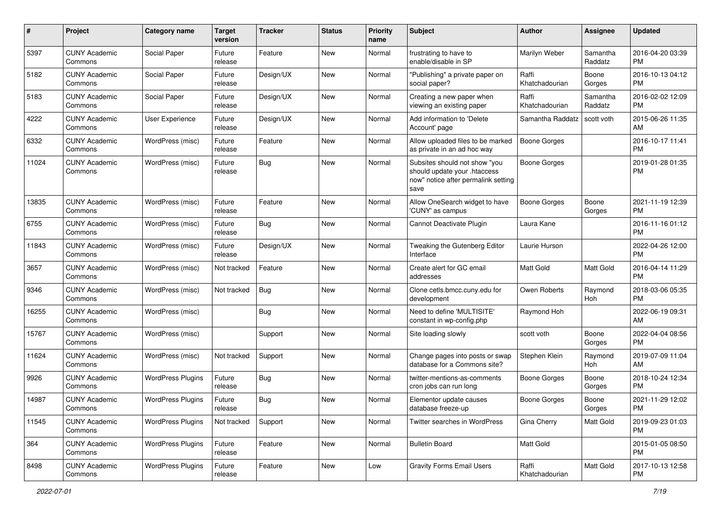| #     | Project                         | <b>Category name</b>     | <b>Target</b><br>version | <b>Tracker</b> | <b>Status</b> | <b>Priority</b><br>name | <b>Subject</b>                                                                                               | <b>Author</b>           | <b>Assignee</b>     | <b>Updated</b>                |
|-------|---------------------------------|--------------------------|--------------------------|----------------|---------------|-------------------------|--------------------------------------------------------------------------------------------------------------|-------------------------|---------------------|-------------------------------|
| 5397  | <b>CUNY Academic</b><br>Commons | Social Paper             | Future<br>release        | Feature        | <b>New</b>    | Normal                  | frustrating to have to<br>enable/disable in SP                                                               | Marilyn Weber           | Samantha<br>Raddatz | 2016-04-20 03:39<br><b>PM</b> |
| 5182  | <b>CUNY Academic</b><br>Commons | Social Paper             | Future<br>release        | Design/UX      | New           | Normal                  | "Publishing" a private paper on<br>social paper?                                                             | Raffi<br>Khatchadourian | Boone<br>Gorges     | 2016-10-13 04:12<br><b>PM</b> |
| 5183  | <b>CUNY Academic</b><br>Commons | Social Paper             | Future<br>release        | Design/UX      | New           | Normal                  | Creating a new paper when<br>viewing an existing paper                                                       | Raffi<br>Khatchadourian | Samantha<br>Raddatz | 2016-02-02 12:09<br><b>PM</b> |
| 4222  | <b>CUNY Academic</b><br>Commons | User Experience          | Future<br>release        | Design/UX      | New           | Normal                  | Add information to 'Delete<br>Account' page                                                                  | Samantha Raddatz        | scott voth          | 2015-06-26 11:35<br>AM        |
| 6332  | <b>CUNY Academic</b><br>Commons | WordPress (misc)         | Future<br>release        | Feature        | New           | Normal                  | Allow uploaded files to be marked<br>as private in an ad hoc way                                             | Boone Gorges            |                     | 2016-10-17 11:41<br><b>PM</b> |
| 11024 | <b>CUNY Academic</b><br>Commons | WordPress (misc)         | Future<br>release        | Bug            | New           | Normal                  | Subsites should not show "you<br>should update your .htaccess<br>now" notice after permalink setting<br>save | Boone Gorges            |                     | 2019-01-28 01:35<br>PM.       |
| 13835 | <b>CUNY Academic</b><br>Commons | WordPress (misc)         | Future<br>release        | Feature        | New           | Normal                  | Allow OneSearch widget to have<br>'CUNY' as campus                                                           | Boone Gorges            | Boone<br>Gorges     | 2021-11-19 12:39<br><b>PM</b> |
| 6755  | <b>CUNY Academic</b><br>Commons | WordPress (misc)         | Future<br>release        | Bug            | New           | Normal                  | Cannot Deactivate Plugin                                                                                     | Laura Kane              |                     | 2016-11-16 01:12<br><b>PM</b> |
| 11843 | <b>CUNY Academic</b><br>Commons | WordPress (misc)         | Future<br>release        | Design/UX      | New           | Normal                  | Tweaking the Gutenberg Editor<br>Interface                                                                   | Laurie Hurson           |                     | 2022-04-26 12:00<br><b>PM</b> |
| 3657  | <b>CUNY Academic</b><br>Commons | WordPress (misc)         | Not tracked              | Feature        | <b>New</b>    | Normal                  | Create alert for GC email<br>addresses                                                                       | Matt Gold               | Matt Gold           | 2016-04-14 11:29<br><b>PM</b> |
| 9346  | <b>CUNY Academic</b><br>Commons | WordPress (misc)         | Not tracked              | Bug            | New           | Normal                  | Clone cetls.bmcc.cuny.edu for<br>development                                                                 | Owen Roberts            | Raymond<br>Hoh      | 2018-03-06 05:35<br><b>PM</b> |
| 16255 | <b>CUNY Academic</b><br>Commons | WordPress (misc)         |                          | <b>Bug</b>     | New           | Normal                  | Need to define 'MULTISITE'<br>constant in wp-config.php                                                      | Raymond Hoh             |                     | 2022-06-19 09:31<br>AM        |
| 15767 | <b>CUNY Academic</b><br>Commons | WordPress (misc)         |                          | Support        | <b>New</b>    | Normal                  | Site loading slowly                                                                                          | scott voth              | Boone<br>Gorges     | 2022-04-04 08:56<br>PM.       |
| 11624 | <b>CUNY Academic</b><br>Commons | WordPress (misc)         | Not tracked              | Support        | <b>New</b>    | Normal                  | Change pages into posts or swap<br>database for a Commons site?                                              | Stephen Klein           | Raymond<br>Hoh      | 2019-07-09 11:04<br>AM        |
| 9926  | <b>CUNY Academic</b><br>Commons | <b>WordPress Plugins</b> | Future<br>release        | Bug            | New           | Normal                  | twitter-mentions-as-comments<br>cron jobs can run long                                                       | <b>Boone Gorges</b>     | Boone<br>Gorges     | 2018-10-24 12:34<br><b>PM</b> |
| 14987 | <b>CUNY Academic</b><br>Commons | <b>WordPress Plugins</b> | Future<br>release        | Bug            | New           | Normal                  | Elementor update causes<br>database freeze-up                                                                | Boone Gorges            | Boone<br>Gorges     | 2021-11-29 12:02<br>PM        |
| 11545 | <b>CUNY Academic</b><br>Commons | <b>WordPress Plugins</b> | Not tracked              | Support        | New           | Normal                  | Twitter searches in WordPress                                                                                | Gina Cherry             | Matt Gold           | 2019-09-23 01:03<br>PM.       |
| 364   | <b>CUNY Academic</b><br>Commons | <b>WordPress Plugins</b> | Future<br>release        | Feature        | New           | Normal                  | <b>Bulletin Board</b>                                                                                        | Matt Gold               |                     | 2015-01-05 08:50<br><b>PM</b> |
| 8498  | <b>CUNY Academic</b><br>Commons | <b>WordPress Plugins</b> | Future<br>release        | Feature        | New           | Low                     | <b>Gravity Forms Email Users</b>                                                                             | Raffi<br>Khatchadourian | Matt Gold           | 2017-10-13 12:58<br><b>PM</b> |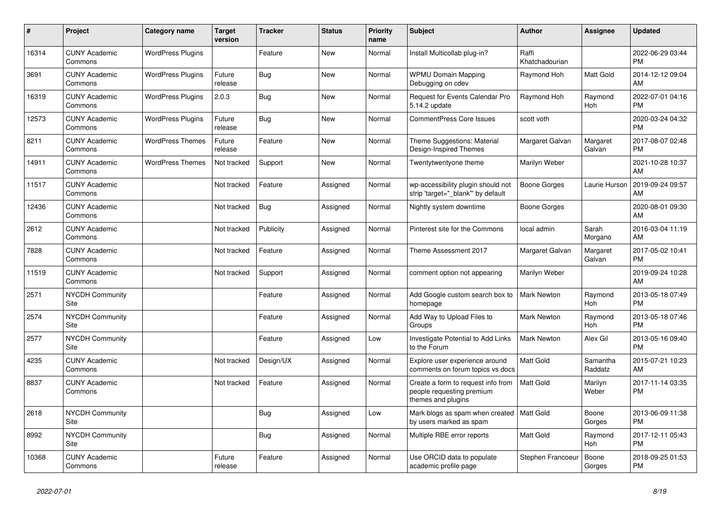| $\#$  | Project                               | <b>Category name</b>     | <b>Target</b><br>version | <b>Tracker</b> | <b>Status</b> | <b>Priority</b><br>name | <b>Subject</b>                                                                        | <b>Author</b>           | <b>Assignee</b>       | <b>Updated</b>                |
|-------|---------------------------------------|--------------------------|--------------------------|----------------|---------------|-------------------------|---------------------------------------------------------------------------------------|-------------------------|-----------------------|-------------------------------|
| 16314 | <b>CUNY Academic</b><br>Commons       | <b>WordPress Plugins</b> |                          | Feature        | New           | Normal                  | Install Multicollab plug-in?                                                          | Raffi<br>Khatchadourian |                       | 2022-06-29 03:44<br><b>PM</b> |
| 3691  | <b>CUNY Academic</b><br>Commons       | <b>WordPress Plugins</b> | Future<br>release        | Bug            | New           | Normal                  | <b>WPMU Domain Mapping</b><br>Debugging on cdev                                       | Raymond Hoh             | Matt Gold             | 2014-12-12 09:04<br>AM        |
| 16319 | <b>CUNY Academic</b><br>Commons       | <b>WordPress Plugins</b> | 2.0.3                    | <b>Bug</b>     | New           | Normal                  | Request for Events Calendar Pro<br>5.14.2 update                                      | Raymond Hoh             | Raymond<br><b>Hoh</b> | 2022-07-01 04:16<br><b>PM</b> |
| 12573 | <b>CUNY Academic</b><br>Commons       | <b>WordPress Plugins</b> | Future<br>release        | Bug            | <b>New</b>    | Normal                  | <b>CommentPress Core Issues</b>                                                       | scott voth              |                       | 2020-03-24 04:32<br><b>PM</b> |
| 8211  | <b>CUNY Academic</b><br>Commons       | <b>WordPress Themes</b>  | Future<br>release        | Feature        | <b>New</b>    | Normal                  | Theme Suggestions: Material<br>Design-Inspired Themes                                 | Margaret Galvan         | Margaret<br>Galvan    | 2017-08-07 02:48<br><b>PM</b> |
| 14911 | <b>CUNY Academic</b><br>Commons       | <b>WordPress Themes</b>  | Not tracked              | Support        | New           | Normal                  | Twentytwentyone theme                                                                 | Marilyn Weber           |                       | 2021-10-28 10:37<br>AM        |
| 11517 | <b>CUNY Academic</b><br>Commons       |                          | Not tracked              | Feature        | Assigned      | Normal                  | wp-accessibility plugin should not<br>strip 'target=" blank" by default               | <b>Boone Gorges</b>     | Laurie Hurson         | 2019-09-24 09:57<br>AM        |
| 12436 | <b>CUNY Academic</b><br>Commons       |                          | Not tracked              | Bug            | Assigned      | Normal                  | Nightly system downtime                                                               | Boone Gorges            |                       | 2020-08-01 09:30<br>AM        |
| 2612  | <b>CUNY Academic</b><br>Commons       |                          | Not tracked              | Publicity      | Assigned      | Normal                  | Pinterest site for the Commons                                                        | local admin             | Sarah<br>Morgano      | 2016-03-04 11:19<br>AM        |
| 7828  | <b>CUNY Academic</b><br>Commons       |                          | Not tracked              | Feature        | Assigned      | Normal                  | Theme Assessment 2017                                                                 | Margaret Galvan         | Margaret<br>Galvan    | 2017-05-02 10:41<br><b>PM</b> |
| 11519 | <b>CUNY Academic</b><br>Commons       |                          | Not tracked              | Support        | Assigned      | Normal                  | comment option not appearing                                                          | Marilyn Weber           |                       | 2019-09-24 10:28<br>AM        |
| 2571  | <b>NYCDH Community</b><br>Site        |                          |                          | Feature        | Assigned      | Normal                  | Add Google custom search box to<br>homepage                                           | <b>Mark Newton</b>      | Raymond<br>Hoh        | 2013-05-18 07:49<br><b>PM</b> |
| 2574  | <b>NYCDH Community</b><br><b>Site</b> |                          |                          | Feature        | Assigned      | Normal                  | Add Way to Upload Files to<br>Groups                                                  | Mark Newton             | Raymond<br>Hoh        | 2013-05-18 07:46<br><b>PM</b> |
| 2577  | <b>NYCDH Community</b><br>Site        |                          |                          | Feature        | Assigned      | Low                     | Investigate Potential to Add Links<br>to the Forum                                    | <b>Mark Newton</b>      | Alex Gil              | 2013-05-16 09:40<br><b>PM</b> |
| 4235  | <b>CUNY Academic</b><br>Commons       |                          | Not tracked              | Design/UX      | Assigned      | Normal                  | Explore user experience around<br>comments on forum topics vs docs                    | <b>Matt Gold</b>        | Samantha<br>Raddatz   | 2015-07-21 10:23<br>AM        |
| 8837  | <b>CUNY Academic</b><br>Commons       |                          | Not tracked              | Feature        | Assigned      | Normal                  | Create a form to request info from<br>people requesting premium<br>themes and plugins | <b>Matt Gold</b>        | Marilyn<br>Weber      | 2017-11-14 03:35<br><b>PM</b> |
| 2618  | <b>NYCDH Community</b><br>Site        |                          |                          | Bug            | Assigned      | Low                     | Mark blogs as spam when created<br>by users marked as spam                            | Matt Gold               | Boone<br>Gorges       | 2013-06-09 11:38<br><b>PM</b> |
| 8992  | <b>NYCDH Community</b><br>Site        |                          |                          | Bug            | Assigned      | Normal                  | Multiple RBE error reports                                                            | Matt Gold               | Raymond<br>Hoh        | 2017-12-11 05:43<br><b>PM</b> |
| 10368 | <b>CUNY Academic</b><br>Commons       |                          | Future<br>release        | Feature        | Assigned      | Normal                  | Use ORCID data to populate<br>academic profile page                                   | Stephen Francoeur       | Boone<br>Gorges       | 2018-09-25 01:53<br><b>PM</b> |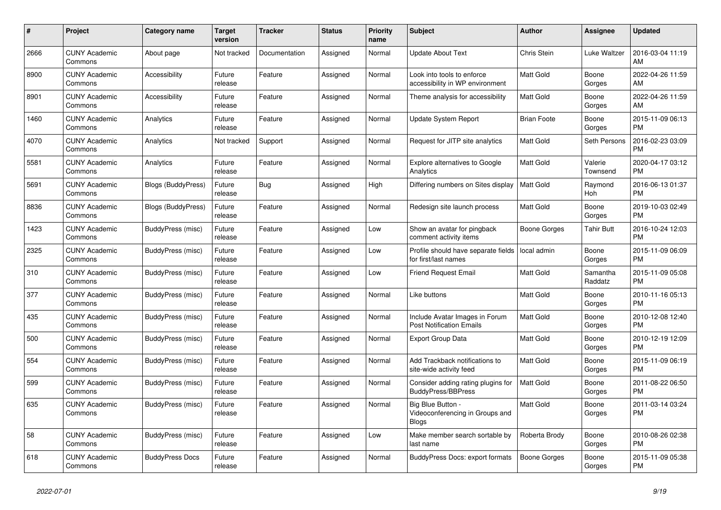| #    | Project                         | <b>Category name</b>      | <b>Target</b><br>version | <b>Tracker</b> | <b>Status</b> | <b>Priority</b><br>name | <b>Subject</b>                                                       | <b>Author</b>       | Assignee            | <b>Updated</b>                |
|------|---------------------------------|---------------------------|--------------------------|----------------|---------------|-------------------------|----------------------------------------------------------------------|---------------------|---------------------|-------------------------------|
| 2666 | <b>CUNY Academic</b><br>Commons | About page                | Not tracked              | Documentation  | Assigned      | Normal                  | <b>Update About Text</b>                                             | Chris Stein         | Luke Waltzer        | 2016-03-04 11:19<br>AM        |
| 8900 | <b>CUNY Academic</b><br>Commons | Accessibility             | Future<br>release        | Feature        | Assigned      | Normal                  | Look into tools to enforce<br>accessibility in WP environment        | Matt Gold           | Boone<br>Gorges     | 2022-04-26 11:59<br>AM        |
| 8901 | <b>CUNY Academic</b><br>Commons | Accessibility             | Future<br>release        | Feature        | Assigned      | Normal                  | Theme analysis for accessibility                                     | Matt Gold           | Boone<br>Gorges     | 2022-04-26 11:59<br>AM        |
| 1460 | <b>CUNY Academic</b><br>Commons | Analytics                 | Future<br>release        | Feature        | Assigned      | Normal                  | <b>Update System Report</b>                                          | <b>Brian Foote</b>  | Boone<br>Gorges     | 2015-11-09 06:13<br><b>PM</b> |
| 4070 | <b>CUNY Academic</b><br>Commons | Analytics                 | Not tracked              | Support        | Assigned      | Normal                  | Request for JITP site analytics                                      | Matt Gold           | Seth Persons        | 2016-02-23 03:09<br><b>PM</b> |
| 5581 | <b>CUNY Academic</b><br>Commons | Analytics                 | Future<br>release        | Feature        | Assigned      | Normal                  | <b>Explore alternatives to Google</b><br>Analytics                   | Matt Gold           | Valerie<br>Townsend | 2020-04-17 03:12<br><b>PM</b> |
| 5691 | <b>CUNY Academic</b><br>Commons | <b>Blogs (BuddyPress)</b> | Future<br>release        | Bug            | Assigned      | High                    | Differing numbers on Sites display                                   | <b>Matt Gold</b>    | Raymond<br>Hoh      | 2016-06-13 01:37<br><b>PM</b> |
| 8836 | <b>CUNY Academic</b><br>Commons | Blogs (BuddyPress)        | Future<br>release        | Feature        | Assigned      | Normal                  | Redesign site launch process                                         | <b>Matt Gold</b>    | Boone<br>Gorges     | 2019-10-03 02:49<br><b>PM</b> |
| 1423 | <b>CUNY Academic</b><br>Commons | BuddyPress (misc)         | Future<br>release        | Feature        | Assigned      | Low                     | Show an avatar for pingback<br>comment activity items                | Boone Gorges        | Tahir Butt          | 2016-10-24 12:03<br><b>PM</b> |
| 2325 | <b>CUNY Academic</b><br>Commons | BuddyPress (misc)         | Future<br>release        | Feature        | Assigned      | Low                     | Profile should have separate fields<br>for first/last names          | local admin         | Boone<br>Gorges     | 2015-11-09 06:09<br><b>PM</b> |
| 310  | <b>CUNY Academic</b><br>Commons | BuddyPress (misc)         | Future<br>release        | Feature        | Assigned      | Low                     | <b>Friend Request Email</b>                                          | <b>Matt Gold</b>    | Samantha<br>Raddatz | 2015-11-09 05:08<br><b>PM</b> |
| 377  | <b>CUNY Academic</b><br>Commons | <b>BuddyPress (misc)</b>  | Future<br>release        | Feature        | Assigned      | Normal                  | Like buttons                                                         | Matt Gold           | Boone<br>Gorges     | 2010-11-16 05:13<br><b>PM</b> |
| 435  | <b>CUNY Academic</b><br>Commons | BuddyPress (misc)         | Future<br>release        | Feature        | Assigned      | Normal                  | Include Avatar Images in Forum<br><b>Post Notification Emails</b>    | <b>Matt Gold</b>    | Boone<br>Gorges     | 2010-12-08 12:40<br><b>PM</b> |
| 500  | <b>CUNY Academic</b><br>Commons | BuddyPress (misc)         | Future<br>release        | Feature        | Assigned      | Normal                  | <b>Export Group Data</b>                                             | <b>Matt Gold</b>    | Boone<br>Gorges     | 2010-12-19 12:09<br><b>PM</b> |
| 554  | <b>CUNY Academic</b><br>Commons | BuddyPress (misc)         | Future<br>release        | Feature        | Assigned      | Normal                  | Add Trackback notifications to<br>site-wide activity feed            | Matt Gold           | Boone<br>Gorges     | 2015-11-09 06:19<br><b>PM</b> |
| 599  | <b>CUNY Academic</b><br>Commons | BuddyPress (misc)         | Future<br>release        | Feature        | Assigned      | Normal                  | Consider adding rating plugins for<br><b>BuddyPress/BBPress</b>      | <b>Matt Gold</b>    | Boone<br>Gorges     | 2011-08-22 06:50<br><b>PM</b> |
| 635  | <b>CUNY Academic</b><br>Commons | BuddyPress (misc)         | Future<br>release        | Feature        | Assigned      | Normal                  | Big Blue Button -<br>Videoconferencing in Groups and<br><b>Blogs</b> | <b>Matt Gold</b>    | Boone<br>Gorges     | 2011-03-14 03:24<br><b>PM</b> |
| 58   | <b>CUNY Academic</b><br>Commons | BuddyPress (misc)         | Future<br>release        | Feature        | Assigned      | Low                     | Make member search sortable by<br>last name                          | Roberta Brody       | Boone<br>Gorges     | 2010-08-26 02:38<br><b>PM</b> |
| 618  | <b>CUNY Academic</b><br>Commons | <b>BuddyPress Docs</b>    | Future<br>release        | Feature        | Assigned      | Normal                  | <b>BuddyPress Docs: export formats</b>                               | <b>Boone Gorges</b> | Boone<br>Gorges     | 2015-11-09 05:38<br><b>PM</b> |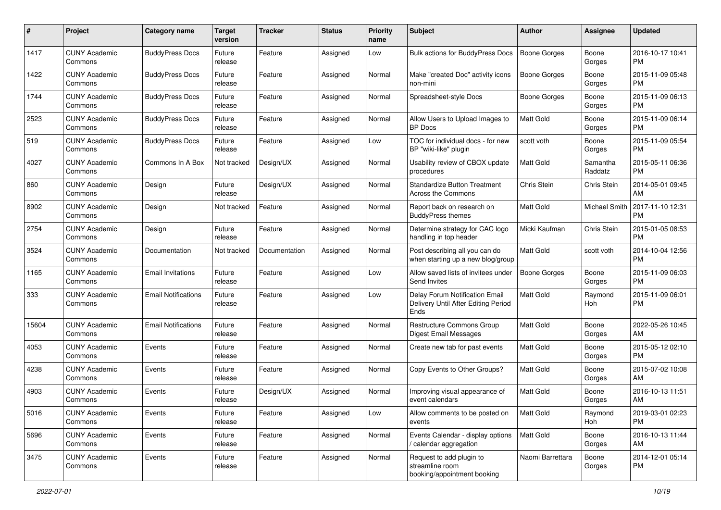| #     | Project                         | <b>Category name</b>       | <b>Target</b><br>version | Tracker       | <b>Status</b> | <b>Priority</b><br>name | <b>Subject</b>                                                                | <b>Author</b>       | <b>Assignee</b>     | <b>Updated</b>                |
|-------|---------------------------------|----------------------------|--------------------------|---------------|---------------|-------------------------|-------------------------------------------------------------------------------|---------------------|---------------------|-------------------------------|
| 1417  | <b>CUNY Academic</b><br>Commons | <b>BuddyPress Docs</b>     | Future<br>release        | Feature       | Assigned      | Low                     | Bulk actions for BuddyPress Docs                                              | <b>Boone Gorges</b> | Boone<br>Gorges     | 2016-10-17 10:41<br>PM.       |
| 1422  | <b>CUNY Academic</b><br>Commons | <b>BuddyPress Docs</b>     | Future<br>release        | Feature       | Assigned      | Normal                  | Make "created Doc" activity icons<br>non-mini                                 | <b>Boone Gorges</b> | Boone<br>Gorges     | 2015-11-09 05:48<br><b>PM</b> |
| 1744  | <b>CUNY Academic</b><br>Commons | <b>BuddyPress Docs</b>     | Future<br>release        | Feature       | Assigned      | Normal                  | Spreadsheet-style Docs                                                        | Boone Gorges        | Boone<br>Gorges     | 2015-11-09 06:13<br><b>PM</b> |
| 2523  | <b>CUNY Academic</b><br>Commons | <b>BuddyPress Docs</b>     | Future<br>release        | Feature       | Assigned      | Normal                  | Allow Users to Upload Images to<br><b>BP</b> Docs                             | <b>Matt Gold</b>    | Boone<br>Gorges     | 2015-11-09 06:14<br><b>PM</b> |
| 519   | <b>CUNY Academic</b><br>Commons | <b>BuddyPress Docs</b>     | Future<br>release        | Feature       | Assigned      | Low                     | TOC for individual docs - for new<br>BP "wiki-like" plugin                    | scott voth          | Boone<br>Gorges     | 2015-11-09 05:54<br><b>PM</b> |
| 4027  | <b>CUNY Academic</b><br>Commons | Commons In A Box           | Not tracked              | Design/UX     | Assigned      | Normal                  | Usability review of CBOX update<br>procedures                                 | <b>Matt Gold</b>    | Samantha<br>Raddatz | 2015-05-11 06:36<br><b>PM</b> |
| 860   | <b>CUNY Academic</b><br>Commons | Design                     | Future<br>release        | Design/UX     | Assigned      | Normal                  | <b>Standardize Button Treatment</b><br>Across the Commons                     | Chris Stein         | Chris Stein         | 2014-05-01 09:45<br>AM        |
| 8902  | <b>CUNY Academic</b><br>Commons | Design                     | Not tracked              | Feature       | Assigned      | Normal                  | Report back on research on<br><b>BuddyPress themes</b>                        | Matt Gold           | Michael Smith       | 2017-11-10 12:31<br><b>PM</b> |
| 2754  | <b>CUNY Academic</b><br>Commons | Design                     | Future<br>release        | Feature       | Assigned      | Normal                  | Determine strategy for CAC logo<br>handling in top header                     | Micki Kaufman       | Chris Stein         | 2015-01-05 08:53<br><b>PM</b> |
| 3524  | <b>CUNY Academic</b><br>Commons | Documentation              | Not tracked              | Documentation | Assigned      | Normal                  | Post describing all you can do<br>when starting up a new blog/group           | Matt Gold           | scott voth          | 2014-10-04 12:56<br><b>PM</b> |
| 1165  | <b>CUNY Academic</b><br>Commons | <b>Email Invitations</b>   | Future<br>release        | Feature       | Assigned      | Low                     | Allow saved lists of invitees under<br>Send Invites                           | Boone Gorges        | Boone<br>Gorges     | 2015-11-09 06:03<br><b>PM</b> |
| 333   | <b>CUNY Academic</b><br>Commons | <b>Email Notifications</b> | Future<br>release        | Feature       | Assigned      | Low                     | Delay Forum Notification Email<br>Delivery Until After Editing Period<br>Ends | <b>Matt Gold</b>    | Raymond<br>Hoh      | 2015-11-09 06:01<br><b>PM</b> |
| 15604 | <b>CUNY Academic</b><br>Commons | <b>Email Notifications</b> | Future<br>release        | Feature       | Assigned      | Normal                  | Restructure Commons Group<br>Digest Email Messages                            | <b>Matt Gold</b>    | Boone<br>Gorges     | 2022-05-26 10:45<br>AM        |
| 4053  | <b>CUNY Academic</b><br>Commons | Events                     | Future<br>release        | Feature       | Assigned      | Normal                  | Create new tab for past events                                                | <b>Matt Gold</b>    | Boone<br>Gorges     | 2015-05-12 02:10<br><b>PM</b> |
| 4238  | <b>CUNY Academic</b><br>Commons | Events                     | Future<br>release        | Feature       | Assigned      | Normal                  | Copy Events to Other Groups?                                                  | <b>Matt Gold</b>    | Boone<br>Gorges     | 2015-07-02 10:08<br>AM        |
| 4903  | <b>CUNY Academic</b><br>Commons | Events                     | Future<br>release        | Design/UX     | Assigned      | Normal                  | Improving visual appearance of<br>event calendars                             | Matt Gold           | Boone<br>Gorges     | 2016-10-13 11:51<br>AM        |
| 5016  | <b>CUNY Academic</b><br>Commons | Events                     | Future<br>release        | Feature       | Assigned      | Low                     | Allow comments to be posted on<br>events                                      | Matt Gold           | Raymond<br>Hoh      | 2019-03-01 02:23<br><b>PM</b> |
| 5696  | <b>CUNY Academic</b><br>Commons | Events                     | Future<br>release        | Feature       | Assigned      | Normal                  | Events Calendar - display options<br>/ calendar aggregation                   | Matt Gold           | Boone<br>Gorges     | 2016-10-13 11:44<br>AM        |
| 3475  | <b>CUNY Academic</b><br>Commons | Events                     | Future<br>release        | Feature       | Assigned      | Normal                  | Request to add plugin to<br>streamline room<br>booking/appointment booking    | Naomi Barrettara    | Boone<br>Gorges     | 2014-12-01 05:14<br><b>PM</b> |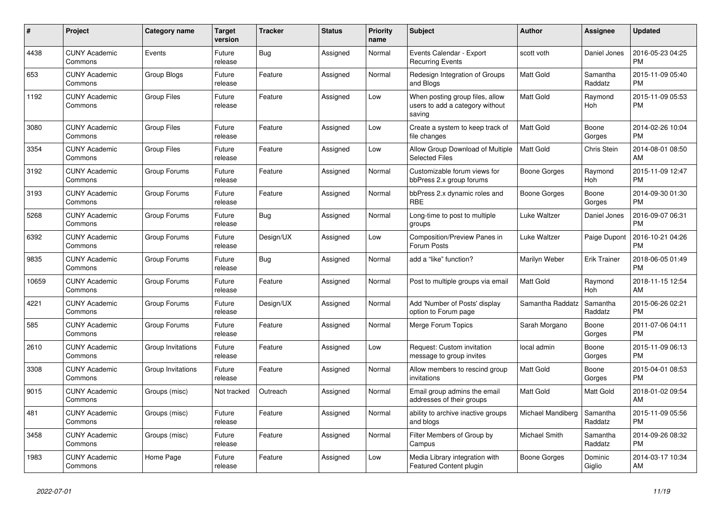| #     | Project                         | <b>Category name</b> | <b>Target</b><br>version | <b>Tracker</b> | <b>Status</b> | <b>Priority</b><br>name | <b>Subject</b>                                                               | <b>Author</b>     | Assignee              | <b>Updated</b>                |
|-------|---------------------------------|----------------------|--------------------------|----------------|---------------|-------------------------|------------------------------------------------------------------------------|-------------------|-----------------------|-------------------------------|
| 4438  | <b>CUNY Academic</b><br>Commons | Events               | Future<br>release        | Bug            | Assigned      | Normal                  | Events Calendar - Export<br><b>Recurring Events</b>                          | scott voth        | Daniel Jones          | 2016-05-23 04:25<br><b>PM</b> |
| 653   | <b>CUNY Academic</b><br>Commons | Group Blogs          | Future<br>release        | Feature        | Assigned      | Normal                  | Redesign Integration of Groups<br>and Blogs                                  | <b>Matt Gold</b>  | Samantha<br>Raddatz   | 2015-11-09 05:40<br><b>PM</b> |
| 1192  | <b>CUNY Academic</b><br>Commons | <b>Group Files</b>   | Future<br>release        | Feature        | Assigned      | Low                     | When posting group files, allow<br>users to add a category without<br>saving | <b>Matt Gold</b>  | Raymond<br>Hoh        | 2015-11-09 05:53<br><b>PM</b> |
| 3080  | <b>CUNY Academic</b><br>Commons | <b>Group Files</b>   | Future<br>release        | Feature        | Assigned      | Low                     | Create a system to keep track of<br>file changes                             | <b>Matt Gold</b>  | Boone<br>Gorges       | 2014-02-26 10:04<br><b>PM</b> |
| 3354  | <b>CUNY Academic</b><br>Commons | <b>Group Files</b>   | Future<br>release        | Feature        | Assigned      | Low                     | Allow Group Download of Multiple<br><b>Selected Files</b>                    | <b>Matt Gold</b>  | Chris Stein           | 2014-08-01 08:50<br>AM        |
| 3192  | <b>CUNY Academic</b><br>Commons | Group Forums         | Future<br>release        | Feature        | Assigned      | Normal                  | Customizable forum views for<br>bbPress 2.x group forums                     | Boone Gorges      | Raymond<br>Hoh        | 2015-11-09 12:47<br><b>PM</b> |
| 3193  | <b>CUNY Academic</b><br>Commons | Group Forums         | Future<br>release        | Feature        | Assigned      | Normal                  | bbPress 2.x dynamic roles and<br><b>RBE</b>                                  | Boone Gorges      | Boone<br>Gorges       | 2014-09-30 01:30<br><b>PM</b> |
| 5268  | <b>CUNY Academic</b><br>Commons | Group Forums         | Future<br>release        | Bug            | Assigned      | Normal                  | Long-time to post to multiple<br>groups                                      | Luke Waltzer      | Daniel Jones          | 2016-09-07 06:31<br><b>PM</b> |
| 6392  | <b>CUNY Academic</b><br>Commons | Group Forums         | Future<br>release        | Design/UX      | Assigned      | Low                     | Composition/Preview Panes in<br>Forum Posts                                  | Luke Waltzer      | Paige Dupont          | 2016-10-21 04:26<br><b>PM</b> |
| 9835  | <b>CUNY Academic</b><br>Commons | Group Forums         | Future<br>release        | Bug            | Assigned      | Normal                  | add a "like" function?                                                       | Marilyn Weber     | <b>Erik Trainer</b>   | 2018-06-05 01:49<br><b>PM</b> |
| 10659 | <b>CUNY Academic</b><br>Commons | Group Forums         | Future<br>release        | Feature        | Assigned      | Normal                  | Post to multiple groups via email                                            | <b>Matt Gold</b>  | Raymond<br><b>Hoh</b> | 2018-11-15 12:54<br>AM        |
| 4221  | <b>CUNY Academic</b><br>Commons | Group Forums         | Future<br>release        | Design/UX      | Assigned      | Normal                  | Add 'Number of Posts' display<br>option to Forum page                        | Samantha Raddatz  | Samantha<br>Raddatz   | 2015-06-26 02:21<br><b>PM</b> |
| 585   | <b>CUNY Academic</b><br>Commons | Group Forums         | Future<br>release        | Feature        | Assigned      | Normal                  | Merge Forum Topics                                                           | Sarah Morgano     | Boone<br>Gorges       | 2011-07-06 04:11<br><b>PM</b> |
| 2610  | <b>CUNY Academic</b><br>Commons | Group Invitations    | Future<br>release        | Feature        | Assigned      | Low                     | Request: Custom invitation<br>message to group invites                       | local admin       | Boone<br>Gorges       | 2015-11-09 06:13<br><b>PM</b> |
| 3308  | <b>CUNY Academic</b><br>Commons | Group Invitations    | Future<br>release        | Feature        | Assigned      | Normal                  | Allow members to rescind group<br>invitations                                | <b>Matt Gold</b>  | Boone<br>Gorges       | 2015-04-01 08:53<br><b>PM</b> |
| 9015  | <b>CUNY Academic</b><br>Commons | Groups (misc)        | Not tracked              | Outreach       | Assigned      | Normal                  | Email group admins the email<br>addresses of their groups                    | Matt Gold         | Matt Gold             | 2018-01-02 09:54<br>AM        |
| 481   | <b>CUNY Academic</b><br>Commons | Groups (misc)        | Future<br>release        | Feature        | Assigned      | Normal                  | ability to archive inactive groups<br>and blogs                              | Michael Mandiberg | Samantha<br>Raddatz   | 2015-11-09 05:56<br><b>PM</b> |
| 3458  | <b>CUNY Academic</b><br>Commons | Groups (misc)        | Future<br>release        | Feature        | Assigned      | Normal                  | Filter Members of Group by<br>Campus                                         | Michael Smith     | Samantha<br>Raddatz   | 2014-09-26 08:32<br><b>PM</b> |
| 1983  | <b>CUNY Academic</b><br>Commons | Home Page            | Future<br>release        | Feature        | Assigned      | Low                     | Media Library integration with<br>Featured Content plugin                    | Boone Gorges      | Dominic<br>Giglio     | 2014-03-17 10:34<br>AM        |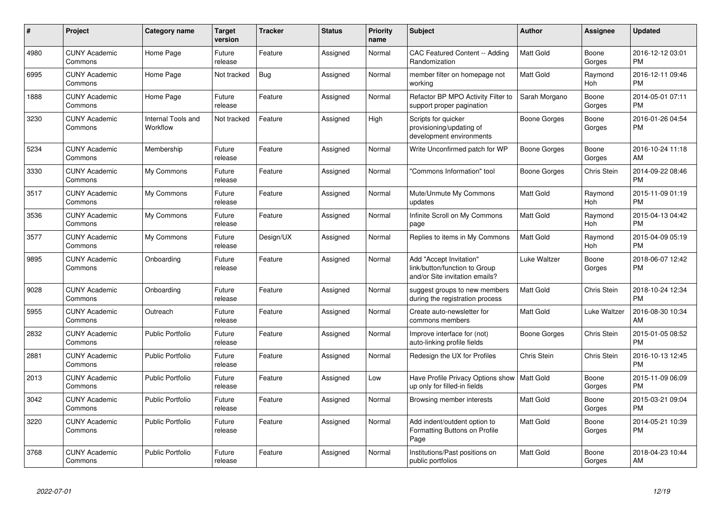| #    | <b>Project</b>                  | Category name                  | <b>Target</b><br>version | <b>Tracker</b> | <b>Status</b> | <b>Priority</b><br>name | <b>Subject</b>                                                                             | Author           | Assignee        | <b>Updated</b>                |
|------|---------------------------------|--------------------------------|--------------------------|----------------|---------------|-------------------------|--------------------------------------------------------------------------------------------|------------------|-----------------|-------------------------------|
| 4980 | <b>CUNY Academic</b><br>Commons | Home Page                      | Future<br>release        | Feature        | Assigned      | Normal                  | CAC Featured Content -- Adding<br>Randomization                                            | <b>Matt Gold</b> | Boone<br>Gorges | 2016-12-12 03:01<br><b>PM</b> |
| 6995 | <b>CUNY Academic</b><br>Commons | Home Page                      | Not tracked              | <b>Bug</b>     | Assigned      | Normal                  | member filter on homepage not<br>working                                                   | <b>Matt Gold</b> | Raymond<br>Hoh  | 2016-12-11 09:46<br><b>PM</b> |
| 1888 | <b>CUNY Academic</b><br>Commons | Home Page                      | Future<br>release        | Feature        | Assigned      | Normal                  | Refactor BP MPO Activity Filter to<br>support proper pagination                            | Sarah Morgano    | Boone<br>Gorges | 2014-05-01 07:11<br><b>PM</b> |
| 3230 | <b>CUNY Academic</b><br>Commons | Internal Tools and<br>Workflow | Not tracked              | Feature        | Assigned      | High                    | Scripts for quicker<br>provisioning/updating of<br>development environments                | Boone Gorges     | Boone<br>Gorges | 2016-01-26 04:54<br><b>PM</b> |
| 5234 | <b>CUNY Academic</b><br>Commons | Membership                     | Future<br>release        | Feature        | Assigned      | Normal                  | Write Unconfirmed patch for WP                                                             | Boone Gorges     | Boone<br>Gorges | 2016-10-24 11:18<br>AM        |
| 3330 | <b>CUNY Academic</b><br>Commons | My Commons                     | Future<br>release        | Feature        | Assigned      | Normal                  | 'Commons Information" tool                                                                 | Boone Gorges     | Chris Stein     | 2014-09-22 08:46<br><b>PM</b> |
| 3517 | <b>CUNY Academic</b><br>Commons | My Commons                     | Future<br>release        | Feature        | Assigned      | Normal                  | Mute/Unmute My Commons<br>updates                                                          | <b>Matt Gold</b> | Raymond<br>Hoh  | 2015-11-09 01:19<br><b>PM</b> |
| 3536 | <b>CUNY Academic</b><br>Commons | My Commons                     | Future<br>release        | Feature        | Assigned      | Normal                  | Infinite Scroll on My Commons<br>page                                                      | Matt Gold        | Raymond<br>Hoh  | 2015-04-13 04:42<br><b>PM</b> |
| 3577 | <b>CUNY Academic</b><br>Commons | My Commons                     | Future<br>release        | Design/UX      | Assigned      | Normal                  | Replies to items in My Commons                                                             | <b>Matt Gold</b> | Raymond<br>Hoh  | 2015-04-09 05:19<br><b>PM</b> |
| 9895 | <b>CUNY Academic</b><br>Commons | Onboarding                     | Future<br>release        | Feature        | Assigned      | Normal                  | Add "Accept Invitation"<br>link/button/function to Group<br>and/or Site invitation emails? | Luke Waltzer     | Boone<br>Gorges | 2018-06-07 12:42<br><b>PM</b> |
| 9028 | <b>CUNY Academic</b><br>Commons | Onboarding                     | Future<br>release        | Feature        | Assigned      | Normal                  | suggest groups to new members<br>during the registration process                           | <b>Matt Gold</b> | Chris Stein     | 2018-10-24 12:34<br><b>PM</b> |
| 5955 | <b>CUNY Academic</b><br>Commons | Outreach                       | Future<br>release        | Feature        | Assigned      | Normal                  | Create auto-newsletter for<br>commons members                                              | Matt Gold        | Luke Waltzer    | 2016-08-30 10:34<br>AM        |
| 2832 | <b>CUNY Academic</b><br>Commons | <b>Public Portfolio</b>        | Future<br>release        | Feature        | Assigned      | Normal                  | Improve interface for (not)<br>auto-linking profile fields                                 | Boone Gorges     | Chris Stein     | 2015-01-05 08:52<br><b>PM</b> |
| 2881 | <b>CUNY Academic</b><br>Commons | <b>Public Portfolio</b>        | Future<br>release        | Feature        | Assigned      | Normal                  | Redesign the UX for Profiles                                                               | Chris Stein      | Chris Stein     | 2016-10-13 12:45<br><b>PM</b> |
| 2013 | <b>CUNY Academic</b><br>Commons | <b>Public Portfolio</b>        | Future<br>release        | Feature        | Assigned      | Low                     | Have Profile Privacy Options show   Matt Gold<br>up only for filled-in fields              |                  | Boone<br>Gorges | 2015-11-09 06:09<br><b>PM</b> |
| 3042 | <b>CUNY Academic</b><br>Commons | <b>Public Portfolio</b>        | Future<br>release        | Feature        | Assigned      | Normal                  | Browsing member interests                                                                  | Matt Gold        | Boone<br>Gorges | 2015-03-21 09:04<br><b>PM</b> |
| 3220 | <b>CUNY Academic</b><br>Commons | <b>Public Portfolio</b>        | Future<br>release        | Feature        | Assigned      | Normal                  | Add indent/outdent option to<br>Formatting Buttons on Profile<br>Page                      | <b>Matt Gold</b> | Boone<br>Gorges | 2014-05-21 10:39<br><b>PM</b> |
| 3768 | <b>CUNY Academic</b><br>Commons | Public Portfolio               | Future<br>release        | Feature        | Assigned      | Normal                  | Institutions/Past positions on<br>public portfolios                                        | <b>Matt Gold</b> | Boone<br>Gorges | 2018-04-23 10:44<br>AM        |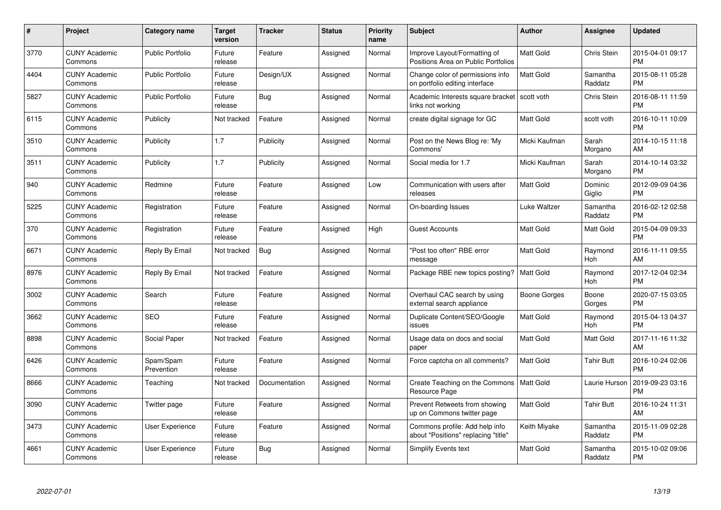| $\#$ | Project                         | <b>Category name</b>    | <b>Target</b><br>version | <b>Tracker</b> | <b>Status</b> | <b>Priority</b><br>name | <b>Subject</b>                                                        | <b>Author</b>    | Assignee            | <b>Updated</b>                |
|------|---------------------------------|-------------------------|--------------------------|----------------|---------------|-------------------------|-----------------------------------------------------------------------|------------------|---------------------|-------------------------------|
| 3770 | <b>CUNY Academic</b><br>Commons | <b>Public Portfolio</b> | Future<br>release        | Feature        | Assigned      | Normal                  | Improve Layout/Formatting of<br>Positions Area on Public Portfolios   | <b>Matt Gold</b> | Chris Stein         | 2015-04-01 09:17<br><b>PM</b> |
| 4404 | <b>CUNY Academic</b><br>Commons | <b>Public Portfolio</b> | Future<br>release        | Design/UX      | Assigned      | Normal                  | Change color of permissions info<br>on portfolio editing interface    | <b>Matt Gold</b> | Samantha<br>Raddatz | 2015-08-11 05:28<br><b>PM</b> |
| 5827 | <b>CUNY Academic</b><br>Commons | <b>Public Portfolio</b> | Future<br>release        | Bug            | Assigned      | Normal                  | Academic Interests square bracket<br>links not working                | scott voth       | Chris Stein         | 2016-08-11 11:59<br><b>PM</b> |
| 6115 | <b>CUNY Academic</b><br>Commons | Publicity               | Not tracked              | Feature        | Assigned      | Normal                  | create digital signage for GC                                         | <b>Matt Gold</b> | scott voth          | 2016-10-11 10:09<br><b>PM</b> |
| 3510 | <b>CUNY Academic</b><br>Commons | Publicity               | 1.7                      | Publicity      | Assigned      | Normal                  | Post on the News Blog re: 'My<br>Commons'                             | Micki Kaufman    | Sarah<br>Morgano    | 2014-10-15 11:18<br>AM        |
| 3511 | <b>CUNY Academic</b><br>Commons | Publicity               | 1.7                      | Publicity      | Assigned      | Normal                  | Social media for 1.7                                                  | Micki Kaufman    | Sarah<br>Morgano    | 2014-10-14 03:32<br><b>PM</b> |
| 940  | <b>CUNY Academic</b><br>Commons | Redmine                 | Future<br>release        | Feature        | Assigned      | Low                     | Communication with users after<br>releases                            | Matt Gold        | Dominic<br>Giglio   | 2012-09-09 04:36<br><b>PM</b> |
| 5225 | <b>CUNY Academic</b><br>Commons | Registration            | Future<br>release        | Feature        | Assigned      | Normal                  | On-boarding Issues                                                    | Luke Waltzer     | Samantha<br>Raddatz | 2016-02-12 02:58<br><b>PM</b> |
| 370  | <b>CUNY Academic</b><br>Commons | Registration            | Future<br>release        | Feature        | Assigned      | High                    | <b>Guest Accounts</b>                                                 | <b>Matt Gold</b> | <b>Matt Gold</b>    | 2015-04-09 09:33<br><b>PM</b> |
| 6671 | <b>CUNY Academic</b><br>Commons | Reply By Email          | Not tracked              | Bug            | Assigned      | Normal                  | "Post too often" RBE error<br>message                                 | Matt Gold        | Raymond<br>Hoh      | 2016-11-11 09:55<br>AM        |
| 8976 | <b>CUNY Academic</b><br>Commons | Reply By Email          | Not tracked              | Feature        | Assigned      | Normal                  | Package RBE new topics posting?                                       | <b>Matt Gold</b> | Raymond<br>Hoh      | 2017-12-04 02:34<br><b>PM</b> |
| 3002 | <b>CUNY Academic</b><br>Commons | Search                  | Future<br>release        | Feature        | Assigned      | Normal                  | Overhaul CAC search by using<br>external search appliance             | Boone Gorges     | Boone<br>Gorges     | 2020-07-15 03:05<br><b>PM</b> |
| 3662 | <b>CUNY Academic</b><br>Commons | <b>SEO</b>              | Future<br>release        | Feature        | Assigned      | Normal                  | Duplicate Content/SEO/Google<br>issues                                | Matt Gold        | Raymond<br>Hoh      | 2015-04-13 04:37<br><b>PM</b> |
| 8898 | <b>CUNY Academic</b><br>Commons | Social Paper            | Not tracked              | Feature        | Assigned      | Normal                  | Usage data on docs and social<br>paper                                | Matt Gold        | Matt Gold           | 2017-11-16 11:32<br>AM        |
| 6426 | <b>CUNY Academic</b><br>Commons | Spam/Spam<br>Prevention | Future<br>release        | Feature        | Assigned      | Normal                  | Force captcha on all comments?                                        | Matt Gold        | Tahir Butt          | 2016-10-24 02:06<br><b>PM</b> |
| 8666 | <b>CUNY Academic</b><br>Commons | Teaching                | Not tracked              | Documentation  | Assigned      | Normal                  | Create Teaching on the Commons<br>Resource Page                       | Matt Gold        | Laurie Hurson       | 2019-09-23 03:16<br><b>PM</b> |
| 3090 | <b>CUNY Academic</b><br>Commons | Twitter page            | Future<br>release        | Feature        | Assigned      | Normal                  | Prevent Retweets from showing<br>up on Commons twitter page           | Matt Gold        | <b>Tahir Butt</b>   | 2016-10-24 11:31<br>AM        |
| 3473 | <b>CUNY Academic</b><br>Commons | User Experience         | Future<br>release        | Feature        | Assigned      | Normal                  | Commons profile: Add help info<br>about "Positions" replacing "title" | Keith Miyake     | Samantha<br>Raddatz | 2015-11-09 02:28<br><b>PM</b> |
| 4661 | <b>CUNY Academic</b><br>Commons | User Experience         | Future<br>release        | Bug            | Assigned      | Normal                  | Simplify Events text                                                  | <b>Matt Gold</b> | Samantha<br>Raddatz | 2015-10-02 09:06<br><b>PM</b> |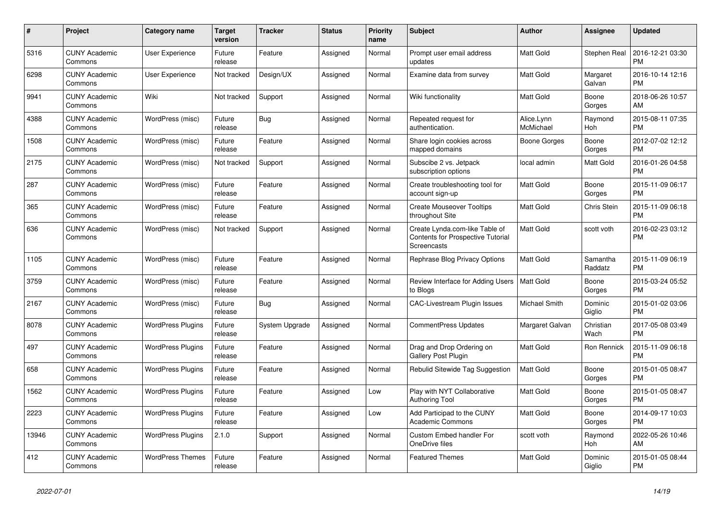| $\#$  | Project                         | <b>Category name</b>     | <b>Target</b><br>version | <b>Tracker</b> | <b>Status</b> | Priority<br>name | <b>Subject</b>                                                                            | <b>Author</b>           | Assignee            | <b>Updated</b>                |
|-------|---------------------------------|--------------------------|--------------------------|----------------|---------------|------------------|-------------------------------------------------------------------------------------------|-------------------------|---------------------|-------------------------------|
| 5316  | <b>CUNY Academic</b><br>Commons | <b>User Experience</b>   | Future<br>release        | Feature        | Assigned      | Normal           | Prompt user email address<br>updates                                                      | Matt Gold               | Stephen Real        | 2016-12-21 03:30<br><b>PM</b> |
| 6298  | <b>CUNY Academic</b><br>Commons | User Experience          | Not tracked              | Design/UX      | Assigned      | Normal           | Examine data from survey                                                                  | <b>Matt Gold</b>        | Margaret<br>Galvan  | 2016-10-14 12:16<br><b>PM</b> |
| 9941  | <b>CUNY Academic</b><br>Commons | Wiki                     | Not tracked              | Support        | Assigned      | Normal           | Wiki functionality                                                                        | Matt Gold               | Boone<br>Gorges     | 2018-06-26 10:57<br>AM        |
| 4388  | <b>CUNY Academic</b><br>Commons | WordPress (misc)         | Future<br>release        | Bug            | Assigned      | Normal           | Repeated request for<br>authentication.                                                   | Alice.Lynn<br>McMichael | Raymond<br>Hoh      | 2015-08-11 07:35<br><b>PM</b> |
| 1508  | <b>CUNY Academic</b><br>Commons | WordPress (misc)         | Future<br>release        | Feature        | Assigned      | Normal           | Share login cookies across<br>mapped domains                                              | Boone Gorges            | Boone<br>Gorges     | 2012-07-02 12:12<br><b>PM</b> |
| 2175  | <b>CUNY Academic</b><br>Commons | WordPress (misc)         | Not tracked              | Support        | Assigned      | Normal           | Subscibe 2 vs. Jetpack<br>subscription options                                            | local admin             | Matt Gold           | 2016-01-26 04:58<br><b>PM</b> |
| 287   | <b>CUNY Academic</b><br>Commons | WordPress (misc)         | Future<br>release        | Feature        | Assigned      | Normal           | Create troubleshooting tool for<br>account sign-up                                        | <b>Matt Gold</b>        | Boone<br>Gorges     | 2015-11-09 06:17<br><b>PM</b> |
| 365   | <b>CUNY Academic</b><br>Commons | WordPress (misc)         | Future<br>release        | Feature        | Assigned      | Normal           | <b>Create Mouseover Tooltips</b><br>throughout Site                                       | <b>Matt Gold</b>        | Chris Stein         | 2015-11-09 06:18<br><b>PM</b> |
| 636   | <b>CUNY Academic</b><br>Commons | WordPress (misc)         | Not tracked              | Support        | Assigned      | Normal           | Create Lynda.com-like Table of<br><b>Contents for Prospective Tutorial</b><br>Screencasts | Matt Gold               | scott voth          | 2016-02-23 03:12<br><b>PM</b> |
| 1105  | <b>CUNY Academic</b><br>Commons | WordPress (misc)         | Future<br>release        | Feature        | Assigned      | Normal           | Rephrase Blog Privacy Options                                                             | Matt Gold               | Samantha<br>Raddatz | 2015-11-09 06:19<br><b>PM</b> |
| 3759  | <b>CUNY Academic</b><br>Commons | WordPress (misc)         | Future<br>release        | Feature        | Assigned      | Normal           | Review Interface for Adding Users<br>to Blogs                                             | <b>Matt Gold</b>        | Boone<br>Gorges     | 2015-03-24 05:52<br><b>PM</b> |
| 2167  | <b>CUNY Academic</b><br>Commons | WordPress (misc)         | Future<br>release        | Bug            | Assigned      | Normal           | <b>CAC-Livestream Plugin Issues</b>                                                       | Michael Smith           | Dominic<br>Giglio   | 2015-01-02 03:06<br><b>PM</b> |
| 8078  | <b>CUNY Academic</b><br>Commons | <b>WordPress Plugins</b> | Future<br>release        | System Upgrade | Assigned      | Normal           | <b>CommentPress Updates</b>                                                               | Margaret Galvan         | Christian<br>Wach   | 2017-05-08 03:49<br><b>PM</b> |
| 497   | <b>CUNY Academic</b><br>Commons | <b>WordPress Plugins</b> | Future<br>release        | Feature        | Assigned      | Normal           | Drag and Drop Ordering on<br>Gallery Post Plugin                                          | Matt Gold               | Ron Rennick         | 2015-11-09 06:18<br><b>PM</b> |
| 658   | <b>CUNY Academic</b><br>Commons | <b>WordPress Plugins</b> | Future<br>release        | Feature        | Assigned      | Normal           | Rebulid Sitewide Tag Suggestion                                                           | Matt Gold               | Boone<br>Gorges     | 2015-01-05 08:47<br><b>PM</b> |
| 1562  | <b>CUNY Academic</b><br>Commons | <b>WordPress Plugins</b> | Future<br>release        | Feature        | Assigned      | Low              | Play with NYT Collaborative<br>Authoring Tool                                             | <b>Matt Gold</b>        | Boone<br>Gorges     | 2015-01-05 08:47<br><b>PM</b> |
| 2223  | <b>CUNY Academic</b><br>Commons | <b>WordPress Plugins</b> | Future<br>release        | Feature        | Assigned      | Low              | Add Participad to the CUNY<br><b>Academic Commons</b>                                     | Matt Gold               | Boone<br>Gorges     | 2014-09-17 10:03<br><b>PM</b> |
| 13946 | <b>CUNY Academic</b><br>Commons | <b>WordPress Plugins</b> | 2.1.0                    | Support        | Assigned      | Normal           | Custom Embed handler For<br>OneDrive files                                                | scott voth              | Raymond<br>Hoh      | 2022-05-26 10:46<br>AM        |
| 412   | <b>CUNY Academic</b><br>Commons | <b>WordPress Themes</b>  | Future<br>release        | Feature        | Assigned      | Normal           | <b>Featured Themes</b>                                                                    | <b>Matt Gold</b>        | Dominic<br>Giglio   | 2015-01-05 08:44<br><b>PM</b> |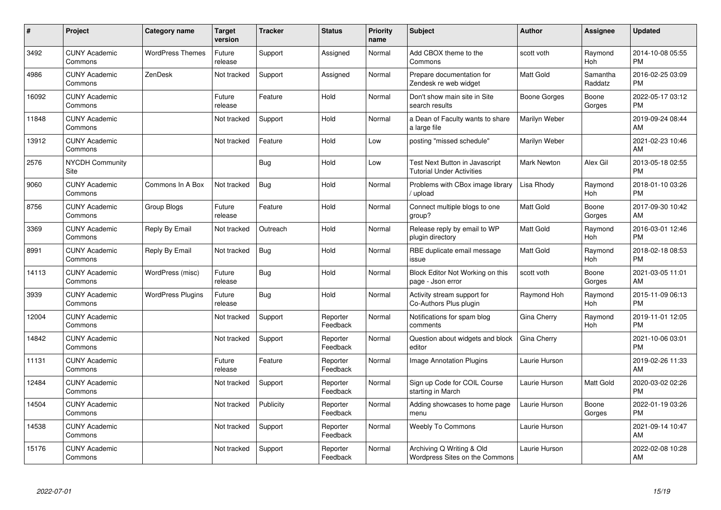| $\#$  | <b>Project</b>                  | <b>Category name</b>     | <b>Target</b><br>version | <b>Tracker</b> | <b>Status</b>        | <b>Priority</b><br>name | <b>Subject</b>                                                     | <b>Author</b>      | Assignee            | <b>Updated</b>                |
|-------|---------------------------------|--------------------------|--------------------------|----------------|----------------------|-------------------------|--------------------------------------------------------------------|--------------------|---------------------|-------------------------------|
| 3492  | <b>CUNY Academic</b><br>Commons | <b>WordPress Themes</b>  | Future<br>release        | Support        | Assigned             | Normal                  | Add CBOX theme to the<br>Commons                                   | scott voth         | Raymond<br>Hoh      | 2014-10-08 05:55<br><b>PM</b> |
| 4986  | <b>CUNY Academic</b><br>Commons | ZenDesk                  | Not tracked              | Support        | Assigned             | Normal                  | Prepare documentation for<br>Zendesk re web widget                 | <b>Matt Gold</b>   | Samantha<br>Raddatz | 2016-02-25 03:09<br><b>PM</b> |
| 16092 | <b>CUNY Academic</b><br>Commons |                          | Future<br>release        | Feature        | Hold                 | Normal                  | Don't show main site in Site<br>search results                     | Boone Gorges       | Boone<br>Gorges     | 2022-05-17 03:12<br><b>PM</b> |
| 11848 | <b>CUNY Academic</b><br>Commons |                          | Not tracked              | Support        | Hold                 | Normal                  | a Dean of Faculty wants to share<br>a large file                   | Marilyn Weber      |                     | 2019-09-24 08:44<br>AM        |
| 13912 | <b>CUNY Academic</b><br>Commons |                          | Not tracked              | Feature        | Hold                 | Low                     | posting "missed schedule"                                          | Marilyn Weber      |                     | 2021-02-23 10:46<br>AM        |
| 2576  | <b>NYCDH Community</b><br>Site  |                          |                          | <b>Bug</b>     | Hold                 | Low                     | Test Next Button in Javascript<br><b>Tutorial Under Activities</b> | <b>Mark Newton</b> | Alex Gil            | 2013-05-18 02:55<br><b>PM</b> |
| 9060  | <b>CUNY Academic</b><br>Commons | Commons In A Box         | Not tracked              | Bug            | Hold                 | Normal                  | Problems with CBox image library<br>upload                         | Lisa Rhody         | Raymond<br>Hoh      | 2018-01-10 03:26<br><b>PM</b> |
| 8756  | <b>CUNY Academic</b><br>Commons | Group Blogs              | Future<br>release        | Feature        | Hold                 | Normal                  | Connect multiple blogs to one<br>group?                            | <b>Matt Gold</b>   | Boone<br>Gorges     | 2017-09-30 10:42<br>AM        |
| 3369  | <b>CUNY Academic</b><br>Commons | Reply By Email           | Not tracked              | Outreach       | Hold                 | Normal                  | Release reply by email to WP<br>plugin directory                   | <b>Matt Gold</b>   | Raymond<br>Hoh      | 2016-03-01 12:46<br><b>PM</b> |
| 8991  | <b>CUNY Academic</b><br>Commons | Reply By Email           | Not tracked              | Bug            | Hold                 | Normal                  | RBE duplicate email message<br>issue                               | <b>Matt Gold</b>   | Raymond<br>Hoh      | 2018-02-18 08:53<br><b>PM</b> |
| 14113 | <b>CUNY Academic</b><br>Commons | WordPress (misc)         | Future<br>release        | Bug            | Hold                 | Normal                  | Block Editor Not Working on this<br>page - Json error              | scott voth         | Boone<br>Gorges     | 2021-03-05 11:01<br>AM        |
| 3939  | <b>CUNY Academic</b><br>Commons | <b>WordPress Plugins</b> | Future<br>release        | <b>Bug</b>     | Hold                 | Normal                  | Activity stream support for<br>Co-Authors Plus plugin              | Raymond Hoh        | Raymond<br>Hoh      | 2015-11-09 06:13<br><b>PM</b> |
| 12004 | <b>CUNY Academic</b><br>Commons |                          | Not tracked              | Support        | Reporter<br>Feedback | Normal                  | Notifications for spam blog<br>comments                            | Gina Cherry        | Raymond<br>Hoh      | 2019-11-01 12:05<br><b>PM</b> |
| 14842 | <b>CUNY Academic</b><br>Commons |                          | Not tracked              | Support        | Reporter<br>Feedback | Normal                  | Question about widgets and block<br>editor                         | Gina Cherry        |                     | 2021-10-06 03:01<br><b>PM</b> |
| 11131 | <b>CUNY Academic</b><br>Commons |                          | Future<br>release        | Feature        | Reporter<br>Feedback | Normal                  | Image Annotation Plugins                                           | Laurie Hurson      |                     | 2019-02-26 11:33<br>AM        |
| 12484 | <b>CUNY Academic</b><br>Commons |                          | Not tracked              | Support        | Reporter<br>Feedback | Normal                  | Sign up Code for COIL Course<br>starting in March                  | Laurie Hurson      | Matt Gold           | 2020-03-02 02:26<br><b>PM</b> |
| 14504 | <b>CUNY Academic</b><br>Commons |                          | Not tracked              | Publicity      | Reporter<br>Feedback | Normal                  | Adding showcases to home page<br>menu                              | Laurie Hurson      | Boone<br>Gorges     | 2022-01-19 03:26<br><b>PM</b> |
| 14538 | <b>CUNY Academic</b><br>Commons |                          | Not tracked              | Support        | Reporter<br>Feedback | Normal                  | <b>Weebly To Commons</b>                                           | Laurie Hurson      |                     | 2021-09-14 10:47<br>AM        |
| 15176 | <b>CUNY Academic</b><br>Commons |                          | Not tracked              | Support        | Reporter<br>Feedback | Normal                  | Archiving Q Writing & Old<br>Wordpress Sites on the Commons        | Laurie Hurson      |                     | 2022-02-08 10:28<br>AM        |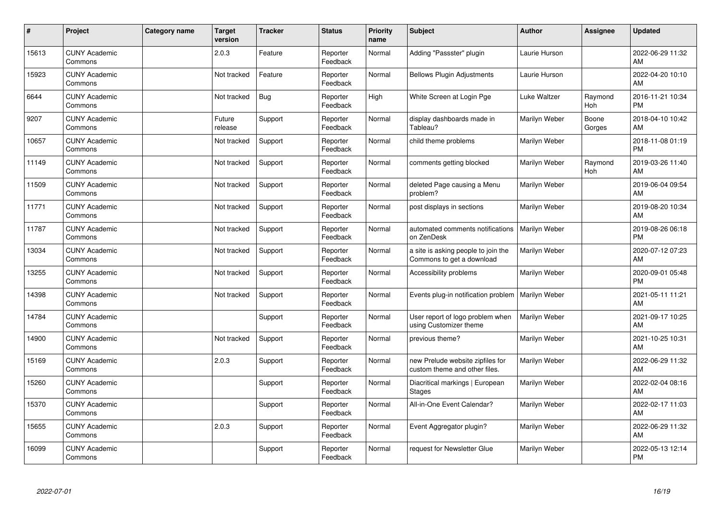| #     | Project                         | Category name | <b>Target</b><br>version | <b>Tracker</b> | <b>Status</b>        | <b>Priority</b><br>name | <b>Subject</b>                                                    | <b>Author</b>        | <b>Assignee</b> | <b>Updated</b>                |
|-------|---------------------------------|---------------|--------------------------|----------------|----------------------|-------------------------|-------------------------------------------------------------------|----------------------|-----------------|-------------------------------|
| 15613 | <b>CUNY Academic</b><br>Commons |               | 2.0.3                    | Feature        | Reporter<br>Feedback | Normal                  | Adding "Passster" plugin                                          | Laurie Hurson        |                 | 2022-06-29 11:32<br>AM        |
| 15923 | <b>CUNY Academic</b><br>Commons |               | Not tracked              | Feature        | Reporter<br>Feedback | Normal                  | <b>Bellows Plugin Adjustments</b>                                 | Laurie Hurson        |                 | 2022-04-20 10:10<br>AM        |
| 6644  | <b>CUNY Academic</b><br>Commons |               | Not tracked              | Bug            | Reporter<br>Feedback | High                    | White Screen at Login Pge                                         | Luke Waltzer         | Raymond<br>Hoh  | 2016-11-21 10:34<br><b>PM</b> |
| 9207  | <b>CUNY Academic</b><br>Commons |               | Future<br>release        | Support        | Reporter<br>Feedback | Normal                  | display dashboards made in<br>Tableau?                            | Marilyn Weber        | Boone<br>Gorges | 2018-04-10 10:42<br>AM        |
| 10657 | <b>CUNY Academic</b><br>Commons |               | Not tracked              | Support        | Reporter<br>Feedback | Normal                  | child theme problems                                              | Marilyn Weber        |                 | 2018-11-08 01:19<br><b>PM</b> |
| 11149 | <b>CUNY Academic</b><br>Commons |               | Not tracked              | Support        | Reporter<br>Feedback | Normal                  | comments getting blocked                                          | Marilyn Weber        | Raymond<br>Hoh  | 2019-03-26 11:40<br>AM        |
| 11509 | <b>CUNY Academic</b><br>Commons |               | Not tracked              | Support        | Reporter<br>Feedback | Normal                  | deleted Page causing a Menu<br>problem?                           | Marilyn Weber        |                 | 2019-06-04 09:54<br>AM        |
| 11771 | <b>CUNY Academic</b><br>Commons |               | Not tracked              | Support        | Reporter<br>Feedback | Normal                  | post displays in sections                                         | Marilyn Weber        |                 | 2019-08-20 10:34<br>AM        |
| 11787 | <b>CUNY Academic</b><br>Commons |               | Not tracked              | Support        | Reporter<br>Feedback | Normal                  | automated comments notifications<br>on ZenDesk                    | Marilyn Weber        |                 | 2019-08-26 06:18<br><b>PM</b> |
| 13034 | <b>CUNY Academic</b><br>Commons |               | Not tracked              | Support        | Reporter<br>Feedback | Normal                  | a site is asking people to join the<br>Commons to get a download  | Marilyn Weber        |                 | 2020-07-12 07:23<br>AM        |
| 13255 | <b>CUNY Academic</b><br>Commons |               | Not tracked              | Support        | Reporter<br>Feedback | Normal                  | Accessibility problems                                            | Marilyn Weber        |                 | 2020-09-01 05:48<br><b>PM</b> |
| 14398 | <b>CUNY Academic</b><br>Commons |               | Not tracked              | Support        | Reporter<br>Feedback | Normal                  | Events plug-in notification problem                               | Marilyn Weber        |                 | 2021-05-11 11:21<br>AM        |
| 14784 | <b>CUNY Academic</b><br>Commons |               |                          | Support        | Reporter<br>Feedback | Normal                  | User report of logo problem when<br>using Customizer theme        | Marilyn Weber        |                 | 2021-09-17 10:25<br>AM        |
| 14900 | <b>CUNY Academic</b><br>Commons |               | Not tracked              | Support        | Reporter<br>Feedback | Normal                  | previous theme?                                                   | Marilyn Weber        |                 | 2021-10-25 10:31<br>AM        |
| 15169 | <b>CUNY Academic</b><br>Commons |               | 2.0.3                    | Support        | Reporter<br>Feedback | Normal                  | new Prelude website zipfiles for<br>custom theme and other files. | Marilyn Weber        |                 | 2022-06-29 11:32<br>AM        |
| 15260 | <b>CUNY Academic</b><br>Commons |               |                          | Support        | Reporter<br>Feedback | Normal                  | Diacritical markings   European<br><b>Stages</b>                  | <b>Marilyn Weber</b> |                 | 2022-02-04 08:16<br>AM        |
| 15370 | <b>CUNY Academic</b><br>Commons |               |                          | Support        | Reporter<br>Feedback | Normal                  | All-in-One Event Calendar?                                        | Marilyn Weber        |                 | 2022-02-17 11:03<br>AM        |
| 15655 | <b>CUNY Academic</b><br>Commons |               | 2.0.3                    | Support        | Reporter<br>Feedback | Normal                  | Event Aggregator plugin?                                          | Marilyn Weber        |                 | 2022-06-29 11:32<br>AM        |
| 16099 | <b>CUNY Academic</b><br>Commons |               |                          | Support        | Reporter<br>Feedback | Normal                  | request for Newsletter Glue                                       | Marilyn Weber        |                 | 2022-05-13 12:14<br><b>PM</b> |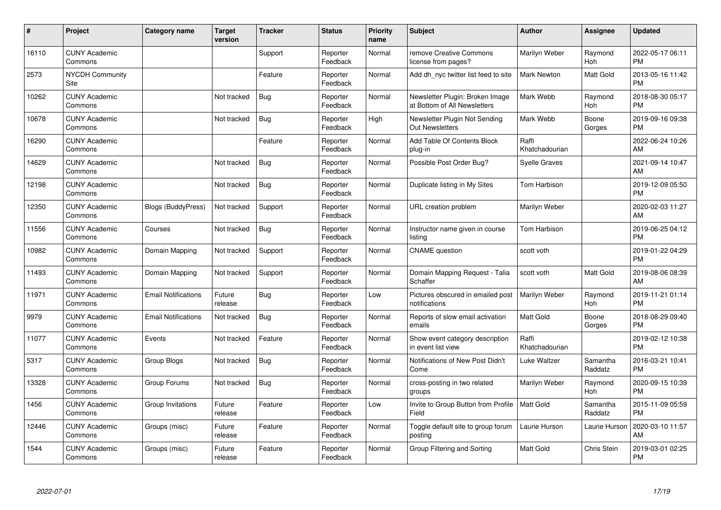| #     | Project                         | <b>Category name</b>       | <b>Target</b><br>version | <b>Tracker</b> | <b>Status</b>        | <b>Priority</b><br>name | <b>Subject</b>                                                  | <b>Author</b>           | <b>Assignee</b>     | <b>Updated</b>                |
|-------|---------------------------------|----------------------------|--------------------------|----------------|----------------------|-------------------------|-----------------------------------------------------------------|-------------------------|---------------------|-------------------------------|
| 16110 | <b>CUNY Academic</b><br>Commons |                            |                          | Support        | Reporter<br>Feedback | Normal                  | remove Creative Commons<br>license from pages?                  | Marilyn Weber           | Raymond<br>Hoh      | 2022-05-17 06:11<br><b>PM</b> |
| 2573  | <b>NYCDH Community</b><br>Site  |                            |                          | Feature        | Reporter<br>Feedback | Normal                  | Add dh nyc twitter list feed to site                            | <b>Mark Newton</b>      | Matt Gold           | 2013-05-16 11:42<br><b>PM</b> |
| 10262 | <b>CUNY Academic</b><br>Commons |                            | Not tracked              | <b>Bug</b>     | Reporter<br>Feedback | Normal                  | Newsletter Plugin: Broken Image<br>at Bottom of All Newsletters | Mark Webb               | Raymond<br>Hoh      | 2018-08-30 05:17<br><b>PM</b> |
| 10678 | <b>CUNY Academic</b><br>Commons |                            | Not tracked              | <b>Bug</b>     | Reporter<br>Feedback | High                    | Newsletter Plugin Not Sending<br><b>Out Newsletters</b>         | Mark Webb               | Boone<br>Gorges     | 2019-09-16 09:38<br><b>PM</b> |
| 16290 | <b>CUNY Academic</b><br>Commons |                            |                          | Feature        | Reporter<br>Feedback | Normal                  | Add Table Of Contents Block<br>plug-in                          | Raffi<br>Khatchadourian |                     | 2022-06-24 10:26<br>AM        |
| 14629 | <b>CUNY Academic</b><br>Commons |                            | Not tracked              | Bug            | Reporter<br>Feedback | Normal                  | Possible Post Order Bug?                                        | <b>Syelle Graves</b>    |                     | 2021-09-14 10:47<br>AM        |
| 12198 | <b>CUNY Academic</b><br>Commons |                            | Not tracked              | <b>Bug</b>     | Reporter<br>Feedback | Normal                  | Duplicate listing in My Sites                                   | Tom Harbison            |                     | 2019-12-09 05:50<br><b>PM</b> |
| 12350 | <b>CUNY Academic</b><br>Commons | <b>Blogs (BuddyPress)</b>  | Not tracked              | Support        | Reporter<br>Feedback | Normal                  | URL creation problem                                            | Marilyn Weber           |                     | 2020-02-03 11:27<br>AM        |
| 11556 | <b>CUNY Academic</b><br>Commons | Courses                    | Not tracked              | Bug            | Reporter<br>Feedback | Normal                  | Instructor name given in course<br>listing                      | Tom Harbison            |                     | 2019-06-25 04:12<br><b>PM</b> |
| 10982 | <b>CUNY Academic</b><br>Commons | Domain Mapping             | Not tracked              | Support        | Reporter<br>Feedback | Normal                  | <b>CNAME</b> question                                           | scott voth              |                     | 2019-01-22 04:29<br><b>PM</b> |
| 11493 | <b>CUNY Academic</b><br>Commons | Domain Mapping             | Not tracked              | Support        | Reporter<br>Feedback | Normal                  | Domain Mapping Request - Talia<br>Schaffer                      | scott voth              | Matt Gold           | 2019-08-06 08:39<br>AM        |
| 11971 | <b>CUNY Academic</b><br>Commons | <b>Email Notifications</b> | Future<br>release        | Bug            | Reporter<br>Feedback | Low                     | Pictures obscured in emailed post<br>notifications              | Marilyn Weber           | Raymond<br>Hoh      | 2019-11-21 01:14<br><b>PM</b> |
| 9979  | <b>CUNY Academic</b><br>Commons | <b>Email Notifications</b> | Not tracked              | Bug            | Reporter<br>Feedback | Normal                  | Reports of slow email activation<br>emails                      | <b>Matt Gold</b>        | Boone<br>Gorges     | 2018-08-29 09:40<br><b>PM</b> |
| 11077 | <b>CUNY Academic</b><br>Commons | Events                     | Not tracked              | Feature        | Reporter<br>Feedback | Normal                  | Show event category description<br>in event list view           | Raffi<br>Khatchadourian |                     | 2019-02-12 10:38<br><b>PM</b> |
| 5317  | <b>CUNY Academic</b><br>Commons | Group Blogs                | Not tracked              | <b>Bug</b>     | Reporter<br>Feedback | Normal                  | Notifications of New Post Didn't<br>Come                        | Luke Waltzer            | Samantha<br>Raddatz | 2016-03-21 10:41<br><b>PM</b> |
| 13328 | <b>CUNY Academic</b><br>Commons | Group Forums               | Not tracked              | <b>Bug</b>     | Reporter<br>Feedback | Normal                  | cross-posting in two related<br>groups                          | Marilyn Weber           | Raymond<br>Hoh      | 2020-09-15 10:39<br><b>PM</b> |
| 1456  | <b>CUNY Academic</b><br>Commons | Group Invitations          | Future<br>release        | Feature        | Reporter<br>Feedback | Low                     | Invite to Group Button from Profile<br>Field                    | Matt Gold               | Samantha<br>Raddatz | 2015-11-09 05:59<br><b>PM</b> |
| 12446 | <b>CUNY Academic</b><br>Commons | Groups (misc)              | Future<br>release        | Feature        | Reporter<br>Feedback | Normal                  | Toggle default site to group forum<br>posting                   | Laurie Hurson           | Laurie Hurson       | 2020-03-10 11:57<br>AM        |
| 1544  | <b>CUNY Academic</b><br>Commons | Groups (misc)              | Future<br>release        | Feature        | Reporter<br>Feedback | Normal                  | Group Filtering and Sorting                                     | <b>Matt Gold</b>        | Chris Stein         | 2019-03-01 02:25<br><b>PM</b> |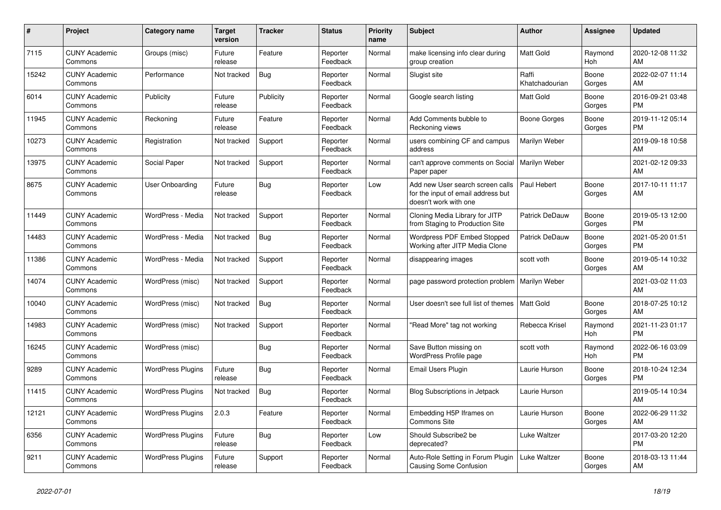| #     | Project                         | <b>Category name</b>     | Target<br>version | <b>Tracker</b> | <b>Status</b>        | <b>Priority</b><br>name | <b>Subject</b>                                                                                  | <b>Author</b>           | <b>Assignee</b> | <b>Updated</b>                |
|-------|---------------------------------|--------------------------|-------------------|----------------|----------------------|-------------------------|-------------------------------------------------------------------------------------------------|-------------------------|-----------------|-------------------------------|
| 7115  | <b>CUNY Academic</b><br>Commons | Groups (misc)            | Future<br>release | Feature        | Reporter<br>Feedback | Normal                  | make licensing info clear during<br>group creation                                              | Matt Gold               | Raymond<br>Hoh  | 2020-12-08 11:32<br>AM.       |
| 15242 | <b>CUNY Academic</b><br>Commons | Performance              | Not tracked       | <b>Bug</b>     | Reporter<br>Feedback | Normal                  | Slugist site                                                                                    | Raffi<br>Khatchadourian | Boone<br>Gorges | 2022-02-07 11:14<br>AM        |
| 6014  | <b>CUNY Academic</b><br>Commons | Publicity                | Future<br>release | Publicity      | Reporter<br>Feedback | Normal                  | Google search listing                                                                           | Matt Gold               | Boone<br>Gorges | 2016-09-21 03:48<br><b>PM</b> |
| 11945 | <b>CUNY Academic</b><br>Commons | Reckoning                | Future<br>release | Feature        | Reporter<br>Feedback | Normal                  | Add Comments bubble to<br>Reckoning views                                                       | Boone Gorges            | Boone<br>Gorges | 2019-11-12 05:14<br><b>PM</b> |
| 10273 | <b>CUNY Academic</b><br>Commons | Registration             | Not tracked       | Support        | Reporter<br>Feedback | Normal                  | users combining CF and campus<br>address                                                        | Marilyn Weber           |                 | 2019-09-18 10:58<br>AM        |
| 13975 | <b>CUNY Academic</b><br>Commons | Social Paper             | Not tracked       | Support        | Reporter<br>Feedback | Normal                  | can't approve comments on Social<br>Paper paper                                                 | Marilyn Weber           |                 | 2021-02-12 09:33<br>AM        |
| 8675  | <b>CUNY Academic</b><br>Commons | User Onboarding          | Future<br>release | Bug            | Reporter<br>Feedback | Low                     | Add new User search screen calls<br>for the input of email address but<br>doesn't work with one | Paul Hebert             | Boone<br>Gorges | 2017-10-11 11:17<br>AM        |
| 11449 | <b>CUNY Academic</b><br>Commons | WordPress - Media        | Not tracked       | Support        | Reporter<br>Feedback | Normal                  | Cloning Media Library for JITP<br>from Staging to Production Site                               | <b>Patrick DeDauw</b>   | Boone<br>Gorges | 2019-05-13 12:00<br><b>PM</b> |
| 14483 | <b>CUNY Academic</b><br>Commons | WordPress - Media        | Not tracked       | Bug            | Reporter<br>Feedback | Normal                  | <b>Wordpress PDF Embed Stopped</b><br>Working after JITP Media Clone                            | <b>Patrick DeDauw</b>   | Boone<br>Gorges | 2021-05-20 01:51<br><b>PM</b> |
| 11386 | <b>CUNY Academic</b><br>Commons | WordPress - Media        | Not tracked       | Support        | Reporter<br>Feedback | Normal                  | disappearing images                                                                             | scott voth              | Boone<br>Gorges | 2019-05-14 10:32<br><b>AM</b> |
| 14074 | <b>CUNY Academic</b><br>Commons | WordPress (misc)         | Not tracked       | Support        | Reporter<br>Feedback | Normal                  | page password protection problem                                                                | Marilyn Weber           |                 | 2021-03-02 11:03<br>AM        |
| 10040 | <b>CUNY Academic</b><br>Commons | WordPress (misc)         | Not tracked       | Bug            | Reporter<br>Feedback | Normal                  | User doesn't see full list of themes                                                            | <b>Matt Gold</b>        | Boone<br>Gorges | 2018-07-25 10:12<br>AM        |
| 14983 | <b>CUNY Academic</b><br>Commons | WordPress (misc)         | Not tracked       | Support        | Reporter<br>Feedback | Normal                  | "Read More" tag not working                                                                     | Rebecca Krisel          | Raymond<br>Hoh  | 2021-11-23 01:17<br><b>PM</b> |
| 16245 | <b>CUNY Academic</b><br>Commons | WordPress (misc)         |                   | Bug            | Reporter<br>Feedback | Normal                  | Save Button missing on<br>WordPress Profile page                                                | scott voth              | Raymond<br>Hoh  | 2022-06-16 03:09<br><b>PM</b> |
| 9289  | <b>CUNY Academic</b><br>Commons | <b>WordPress Plugins</b> | Future<br>release | Bug            | Reporter<br>Feedback | Normal                  | Email Users Plugin                                                                              | Laurie Hurson           | Boone<br>Gorges | 2018-10-24 12:34<br><b>PM</b> |
| 11415 | <b>CUNY Academic</b><br>Commons | <b>WordPress Plugins</b> | Not tracked       | <b>Bug</b>     | Reporter<br>Feedback | Normal                  | <b>Blog Subscriptions in Jetpack</b>                                                            | Laurie Hurson           |                 | 2019-05-14 10:34<br>AM        |
| 12121 | <b>CUNY Academic</b><br>Commons | <b>WordPress Plugins</b> | 2.0.3             | Feature        | Reporter<br>Feedback | Normal                  | Embedding H5P Iframes on<br><b>Commons Site</b>                                                 | Laurie Hurson           | Boone<br>Gorges | 2022-06-29 11:32<br>AM        |
| 6356  | <b>CUNY Academic</b><br>Commons | <b>WordPress Plugins</b> | Future<br>release | Bug            | Reporter<br>Feedback | Low                     | Should Subscribe2 be<br>deprecated?                                                             | Luke Waltzer            |                 | 2017-03-20 12:20<br><b>PM</b> |
| 9211  | <b>CUNY Academic</b><br>Commons | <b>WordPress Plugins</b> | Future<br>release | Support        | Reporter<br>Feedback | Normal                  | Auto-Role Setting in Forum Plugin<br>Causing Some Confusion                                     | Luke Waltzer            | Boone<br>Gorges | 2018-03-13 11:44<br>AM        |